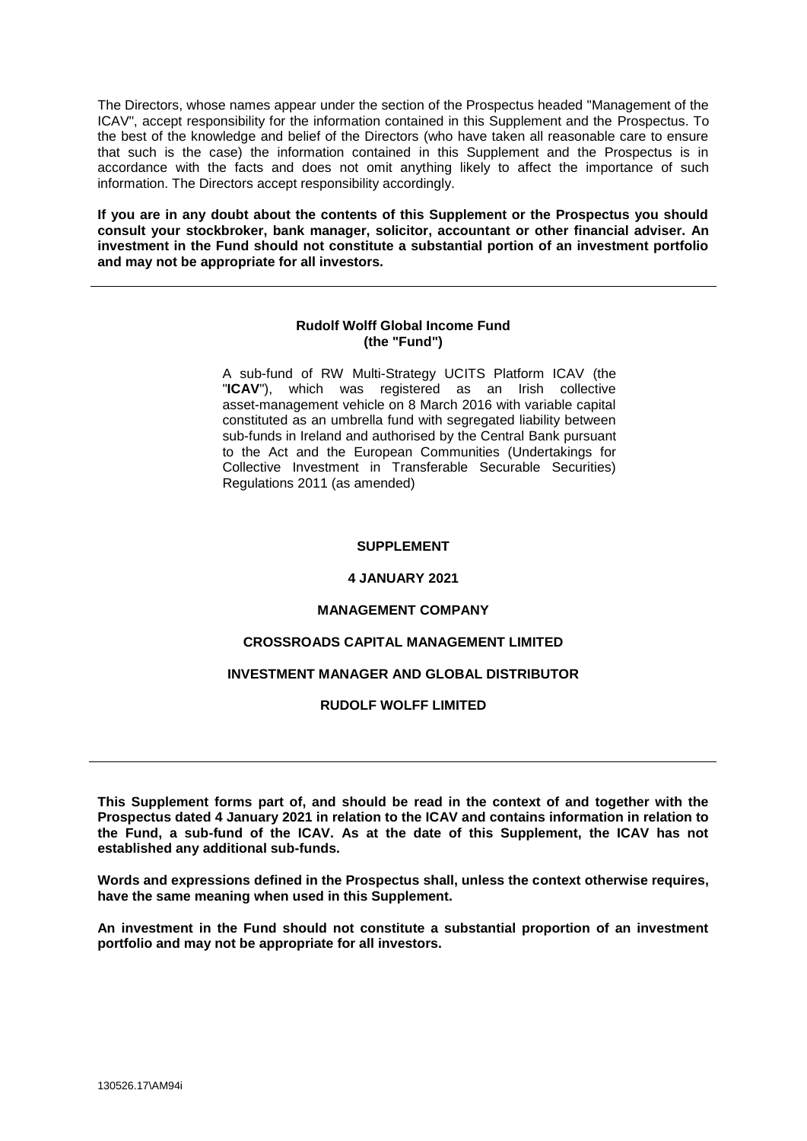The Directors, whose names appear under the section of the Prospectus headed "Management of the ICAV", accept responsibility for the information contained in this Supplement and the Prospectus. To the best of the knowledge and belief of the Directors (who have taken all reasonable care to ensure that such is the case) the information contained in this Supplement and the Prospectus is in accordance with the facts and does not omit anything likely to affect the importance of such information. The Directors accept responsibility accordingly.

**If you are in any doubt about the contents of this Supplement or the Prospectus you should consult your stockbroker, bank manager, solicitor, accountant or other financial adviser. An investment in the Fund should not constitute a substantial portion of an investment portfolio and may not be appropriate for all investors.**

# **Rudolf Wolff Global Income Fund (the "Fund")**

A sub-fund of RW Multi-Strategy UCITS Platform ICAV (the "**ICAV**"), which was registered as an Irish collective asset-management vehicle on 8 March 2016 with variable capital constituted as an umbrella fund with segregated liability between sub-funds in Ireland and authorised by the Central Bank pursuant to the Act and the European Communities (Undertakings for Collective Investment in Transferable Securable Securities) Regulations 2011 (as amended)

# **SUPPLEMENT**

# **4 JANUARY 2021**

# **MANAGEMENT COMPANY**

# **CROSSROADS CAPITAL MANAGEMENT LIMITED**

# **INVESTMENT MANAGER AND GLOBAL DISTRIBUTOR**

# **RUDOLF WOLFF LIMITED**

**This Supplement forms part of, and should be read in the context of and together with the Prospectus dated 4 January 2021 in relation to the ICAV and contains information in relation to the Fund, a sub-fund of the ICAV. As at the date of this Supplement, the ICAV has not established any additional sub-funds.**

**Words and expressions defined in the Prospectus shall, unless the context otherwise requires, have the same meaning when used in this Supplement.**

**An investment in the Fund should not constitute a substantial proportion of an investment portfolio and may not be appropriate for all investors.**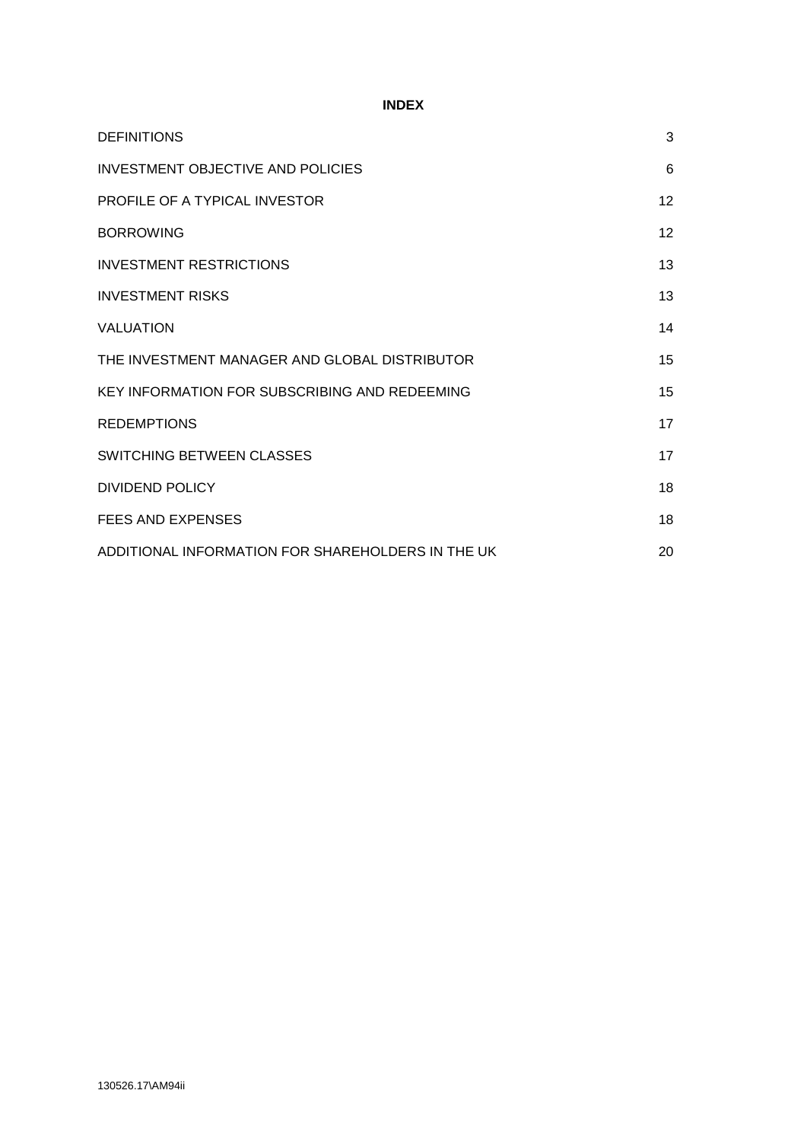# **INDEX**

| <b>DEFINITIONS</b>                                | 3  |
|---------------------------------------------------|----|
| <b>INVESTMENT OBJECTIVE AND POLICIES</b>          | 6  |
| PROFILE OF A TYPICAL INVESTOR                     | 12 |
| <b>BORROWING</b>                                  | 12 |
| <b>INVESTMENT RESTRICTIONS</b>                    | 13 |
| <b>INVESTMENT RISKS</b>                           | 13 |
| <b>VALUATION</b>                                  | 14 |
| THE INVESTMENT MANAGER AND GLOBAL DISTRIBUTOR     | 15 |
| KEY INFORMATION FOR SUBSCRIBING AND REDEEMING     | 15 |
| <b>REDEMPTIONS</b>                                | 17 |
| SWITCHING BETWEEN CLASSES                         | 17 |
| <b>DIVIDEND POLICY</b>                            | 18 |
| <b>FEES AND EXPENSES</b>                          | 18 |
| ADDITIONAL INFORMATION FOR SHAREHOLDERS IN THE UK | 20 |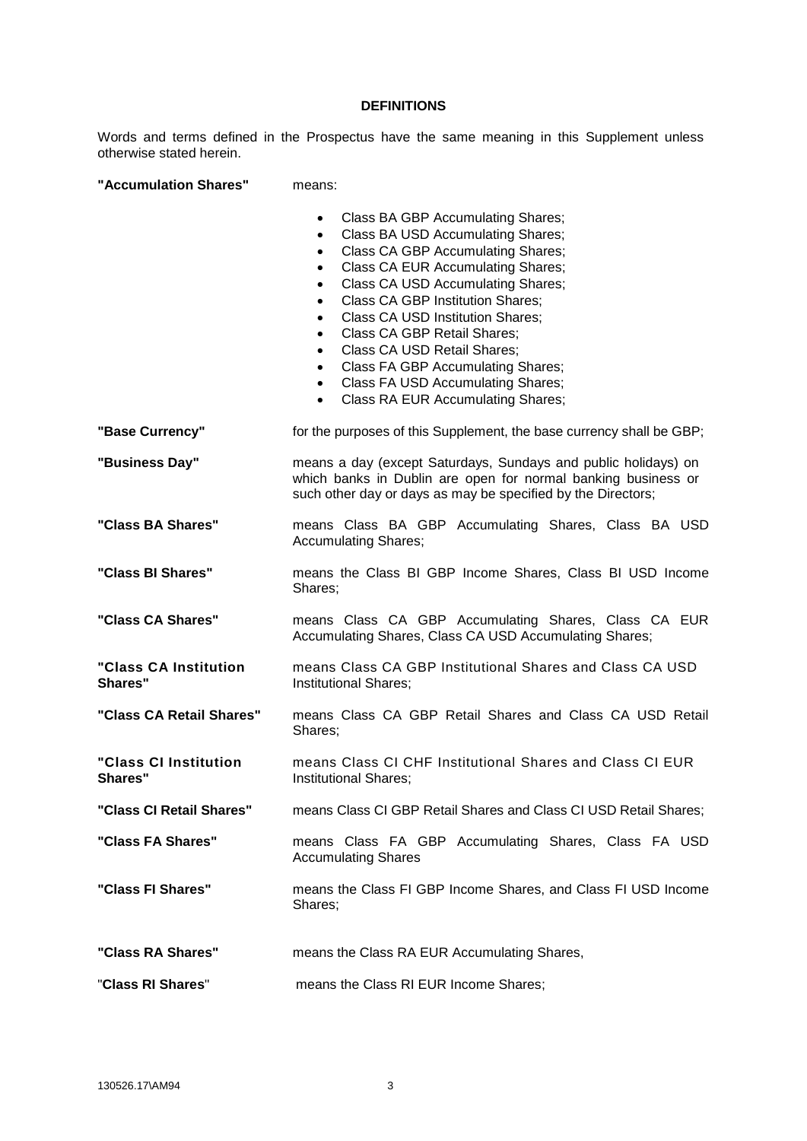# **DEFINITIONS**

Words and terms defined in the Prospectus have the same meaning in this Supplement unless otherwise stated herein.

**"Accumulation Shares"** means:

|                                         | Class BA GBP Accumulating Shares;<br>Class BA USD Accumulating Shares;<br>$\bullet$<br>Class CA GBP Accumulating Shares;<br>$\bullet$<br>Class CA EUR Accumulating Shares;<br>$\bullet$<br>Class CA USD Accumulating Shares;<br>$\bullet$<br><b>Class CA GBP Institution Shares;</b><br>$\bullet$<br><b>Class CA USD Institution Shares;</b><br>$\bullet$<br><b>Class CA GBP Retail Shares;</b><br>$\bullet$<br>Class CA USD Retail Shares;<br>$\bullet$<br>Class FA GBP Accumulating Shares;<br>$\bullet$<br>Class FA USD Accumulating Shares;<br>$\bullet$<br>Class RA EUR Accumulating Shares;<br>$\bullet$ |
|-----------------------------------------|----------------------------------------------------------------------------------------------------------------------------------------------------------------------------------------------------------------------------------------------------------------------------------------------------------------------------------------------------------------------------------------------------------------------------------------------------------------------------------------------------------------------------------------------------------------------------------------------------------------|
| "Base Currency"                         | for the purposes of this Supplement, the base currency shall be GBP;                                                                                                                                                                                                                                                                                                                                                                                                                                                                                                                                           |
| "Business Day"                          | means a day (except Saturdays, Sundays and public holidays) on<br>which banks in Dublin are open for normal banking business or<br>such other day or days as may be specified by the Directors;                                                                                                                                                                                                                                                                                                                                                                                                                |
| "Class BA Shares"                       | means Class BA GBP Accumulating Shares, Class BA USD<br><b>Accumulating Shares;</b>                                                                                                                                                                                                                                                                                                                                                                                                                                                                                                                            |
| "Class BI Shares"                       | means the Class BI GBP Income Shares, Class BI USD Income<br>Shares;                                                                                                                                                                                                                                                                                                                                                                                                                                                                                                                                           |
| "Class CA Shares"                       | means Class CA GBP Accumulating Shares, Class CA EUR<br>Accumulating Shares, Class CA USD Accumulating Shares;                                                                                                                                                                                                                                                                                                                                                                                                                                                                                                 |
| "Class CA Institution<br><b>Shares"</b> | means Class CA GBP Institutional Shares and Class CA USD<br><b>Institutional Shares;</b>                                                                                                                                                                                                                                                                                                                                                                                                                                                                                                                       |
| "Class CA Retail Shares"                | means Class CA GBP Retail Shares and Class CA USD Retail<br>Shares;                                                                                                                                                                                                                                                                                                                                                                                                                                                                                                                                            |
| "Class CI Institution<br>Shares"        | means Class CI CHF Institutional Shares and Class CI EUR<br><b>Institutional Shares;</b>                                                                                                                                                                                                                                                                                                                                                                                                                                                                                                                       |
| "Class CI Retail Shares"                | means Class CI GBP Retail Shares and Class CI USD Retail Shares;                                                                                                                                                                                                                                                                                                                                                                                                                                                                                                                                               |
| "Class FA Shares"                       | means Class FA GBP Accumulating Shares, Class FA USD<br><b>Accumulating Shares</b>                                                                                                                                                                                                                                                                                                                                                                                                                                                                                                                             |
| "Class FI Shares"                       | means the Class FI GBP Income Shares, and Class FI USD Income<br>Shares;                                                                                                                                                                                                                                                                                                                                                                                                                                                                                                                                       |
| "Class RA Shares"                       | means the Class RA EUR Accumulating Shares,                                                                                                                                                                                                                                                                                                                                                                                                                                                                                                                                                                    |
| "Class RI Shares"                       | means the Class RI EUR Income Shares;                                                                                                                                                                                                                                                                                                                                                                                                                                                                                                                                                                          |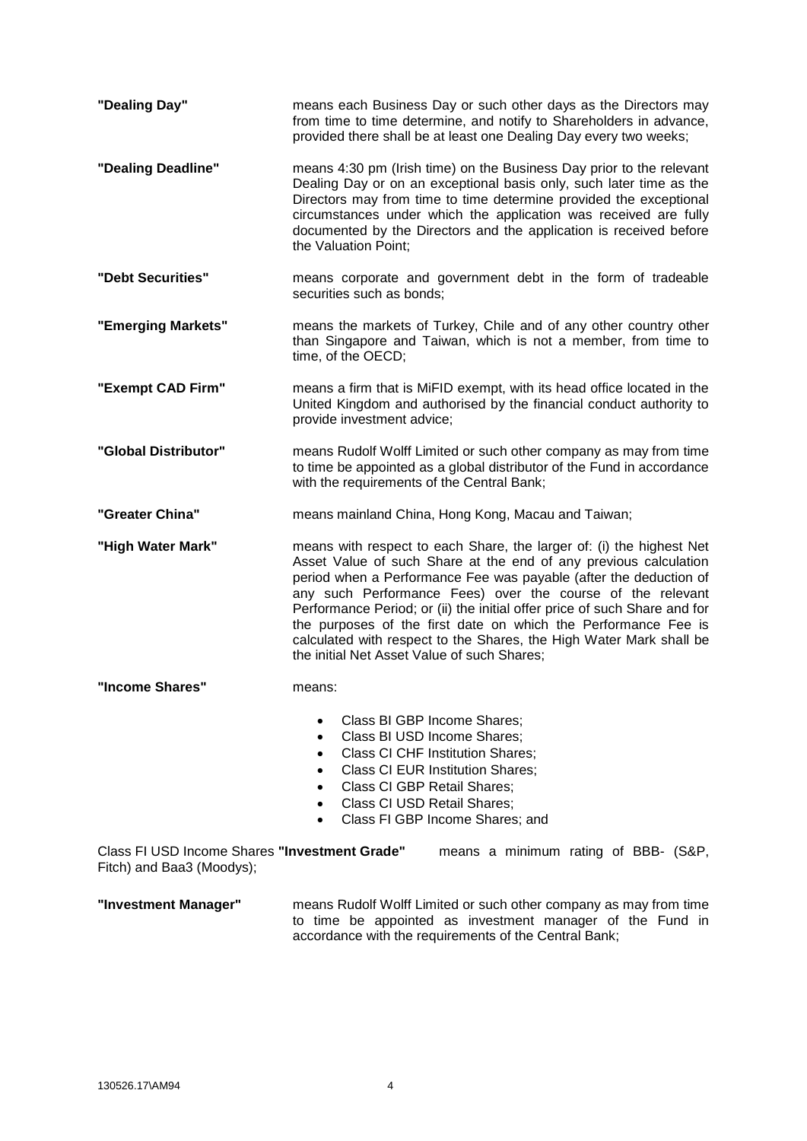| "Dealing Day"                                                              | means each Business Day or such other days as the Directors may<br>from time to time determine, and notify to Shareholders in advance,<br>provided there shall be at least one Dealing Day every two weeks;                                                                                                                                                                                                                                                                                                                                      |  |  |
|----------------------------------------------------------------------------|--------------------------------------------------------------------------------------------------------------------------------------------------------------------------------------------------------------------------------------------------------------------------------------------------------------------------------------------------------------------------------------------------------------------------------------------------------------------------------------------------------------------------------------------------|--|--|
| "Dealing Deadline"                                                         | means 4:30 pm (Irish time) on the Business Day prior to the relevant<br>Dealing Day or on an exceptional basis only, such later time as the<br>Directors may from time to time determine provided the exceptional<br>circumstances under which the application was received are fully<br>documented by the Directors and the application is received before<br>the Valuation Point;                                                                                                                                                              |  |  |
| "Debt Securities"                                                          | means corporate and government debt in the form of tradeable<br>securities such as bonds;                                                                                                                                                                                                                                                                                                                                                                                                                                                        |  |  |
| "Emerging Markets"                                                         | means the markets of Turkey, Chile and of any other country other<br>than Singapore and Taiwan, which is not a member, from time to<br>time, of the OECD;                                                                                                                                                                                                                                                                                                                                                                                        |  |  |
| "Exempt CAD Firm"                                                          | means a firm that is MiFID exempt, with its head office located in the<br>United Kingdom and authorised by the financial conduct authority to<br>provide investment advice;                                                                                                                                                                                                                                                                                                                                                                      |  |  |
| "Global Distributor"                                                       | means Rudolf Wolff Limited or such other company as may from time<br>to time be appointed as a global distributor of the Fund in accordance<br>with the requirements of the Central Bank;                                                                                                                                                                                                                                                                                                                                                        |  |  |
| "Greater China"                                                            | means mainland China, Hong Kong, Macau and Taiwan;                                                                                                                                                                                                                                                                                                                                                                                                                                                                                               |  |  |
| "High Water Mark"                                                          | means with respect to each Share, the larger of: (i) the highest Net<br>Asset Value of such Share at the end of any previous calculation<br>period when a Performance Fee was payable (after the deduction of<br>any such Performance Fees) over the course of the relevant<br>Performance Period; or (ii) the initial offer price of such Share and for<br>the purposes of the first date on which the Performance Fee is<br>calculated with respect to the Shares, the High Water Mark shall be<br>the initial Net Asset Value of such Shares; |  |  |
| "Income Shares"                                                            | means:                                                                                                                                                                                                                                                                                                                                                                                                                                                                                                                                           |  |  |
|                                                                            | Class BI GBP Income Shares;<br>Class BI USD Income Shares;<br><b>Class CI CHF Institution Shares;</b><br><b>Class CI EUR Institution Shares;</b><br><b>Class CI GBP Retail Shares:</b><br>Class CI USD Retail Shares;<br>Class FI GBP Income Shares; and                                                                                                                                                                                                                                                                                         |  |  |
| Class FI USD Income Shares "Investment Grade"<br>Fitch) and Baa3 (Moodys); | means a minimum rating of BBB- (S&P,                                                                                                                                                                                                                                                                                                                                                                                                                                                                                                             |  |  |

**"Investment Manager"** means Rudolf Wolff Limited or such other company as may from time to time be appointed as investment manager of the Fund in accordance with the requirements of the Central Bank;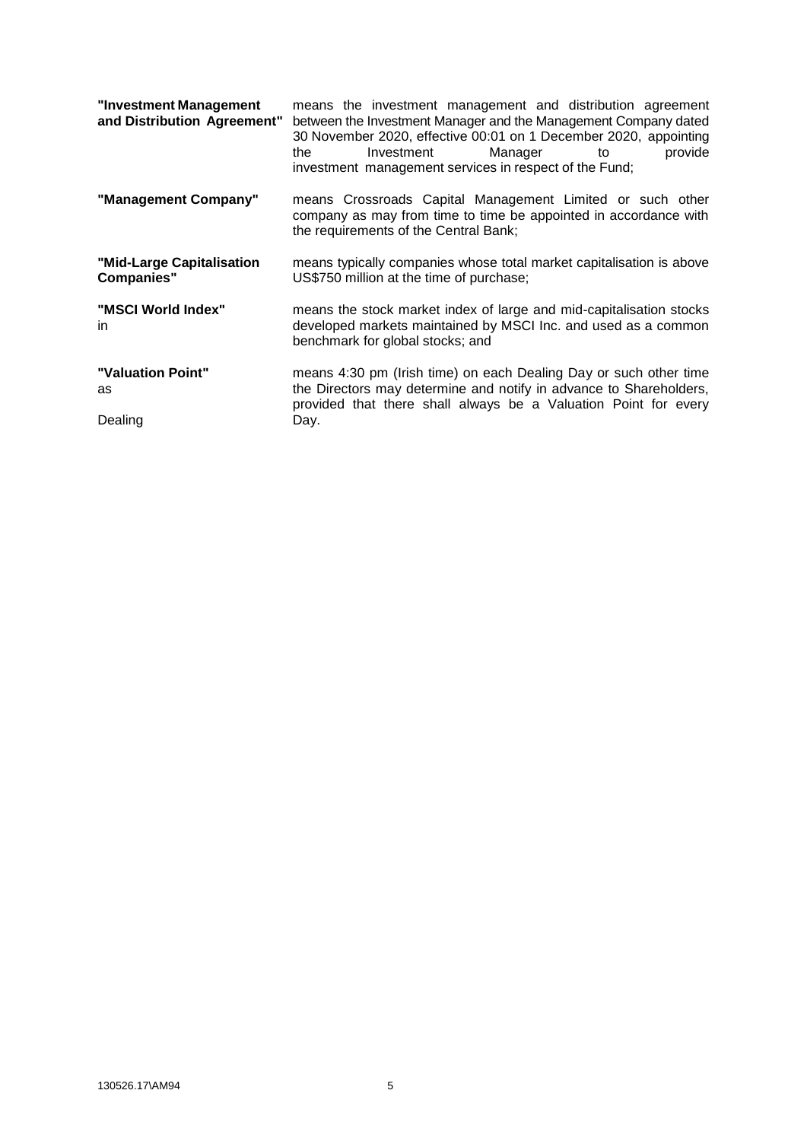| "Investment Management<br>and Distribution Agreement" | means the investment management and distribution agreement<br>between the Investment Manager and the Management Company dated<br>30 November 2020, effective 00:01 on 1 December 2020, appointing<br>Manager<br>Investment<br>provide<br>the<br>to<br>investment management services in respect of the Fund; |  |  |  |
|-------------------------------------------------------|--------------------------------------------------------------------------------------------------------------------------------------------------------------------------------------------------------------------------------------------------------------------------------------------------------------|--|--|--|
| "Management Company"                                  | means Crossroads Capital Management Limited or such other<br>company as may from time to time be appointed in accordance with<br>the requirements of the Central Bank;                                                                                                                                       |  |  |  |
| "Mid-Large Capitalisation<br><b>Companies"</b>        | means typically companies whose total market capitalisation is above<br>US\$750 million at the time of purchase;                                                                                                                                                                                             |  |  |  |
| "MSCI World Index"<br>in.                             | means the stock market index of large and mid-capitalisation stocks<br>developed markets maintained by MSCI Inc. and used as a common<br>benchmark for global stocks; and                                                                                                                                    |  |  |  |
| "Valuation Point"<br>as<br>Dealing                    | means 4:30 pm (Irish time) on each Dealing Day or such other time<br>the Directors may determine and notify in advance to Shareholders,<br>provided that there shall always be a Valuation Point for every<br>Day.                                                                                           |  |  |  |
|                                                       |                                                                                                                                                                                                                                                                                                              |  |  |  |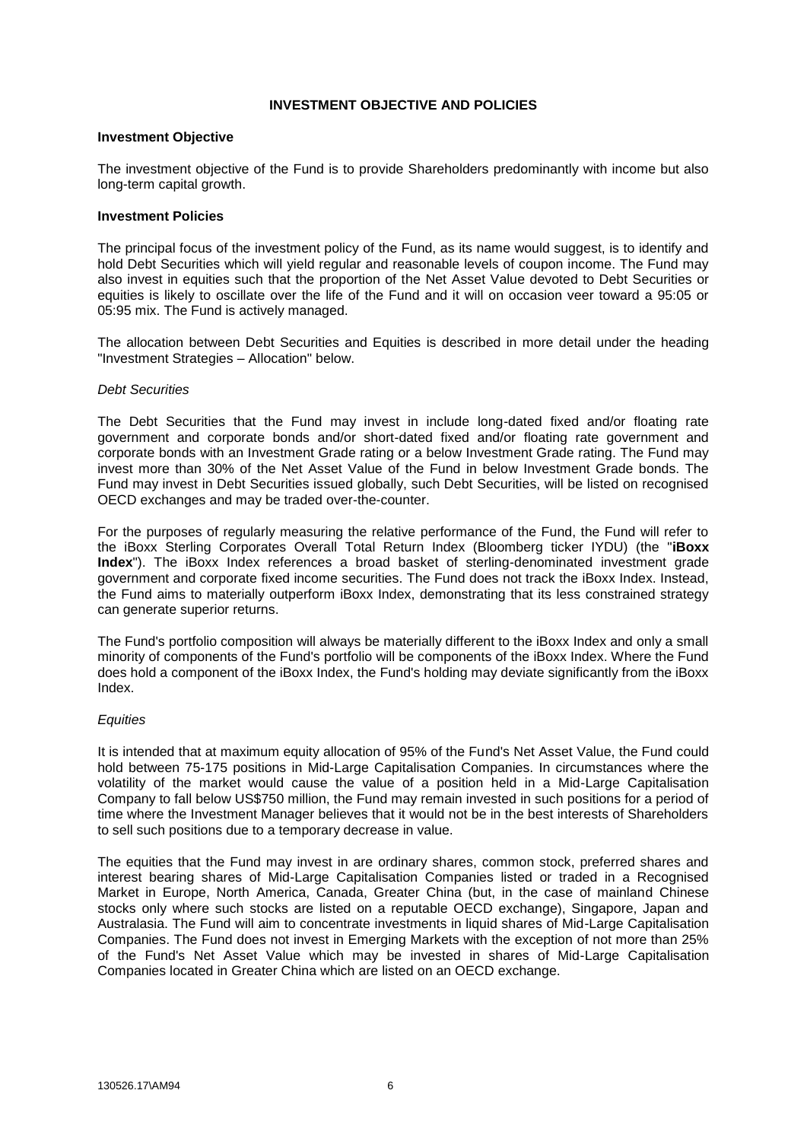# **INVESTMENT OBJECTIVE AND POLICIES**

#### **Investment Objective**

The investment objective of the Fund is to provide Shareholders predominantly with income but also long-term capital growth.

#### **Investment Policies**

The principal focus of the investment policy of the Fund, as its name would suggest, is to identify and hold Debt Securities which will yield regular and reasonable levels of coupon income. The Fund may also invest in equities such that the proportion of the Net Asset Value devoted to Debt Securities or equities is likely to oscillate over the life of the Fund and it will on occasion veer toward a 95:05 or 05:95 mix. The Fund is actively managed.

The allocation between Debt Securities and Equities is described in more detail under the heading "Investment Strategies – Allocation" below.

#### *Debt Securities*

The Debt Securities that the Fund may invest in include long-dated fixed and/or floating rate government and corporate bonds and/or short-dated fixed and/or floating rate government and corporate bonds with an Investment Grade rating or a below Investment Grade rating. The Fund may invest more than 30% of the Net Asset Value of the Fund in below Investment Grade bonds. The Fund may invest in Debt Securities issued globally, such Debt Securities, will be listed on recognised OECD exchanges and may be traded over-the-counter.

For the purposes of regularly measuring the relative performance of the Fund, the Fund will refer to the iBoxx Sterling Corporates Overall Total Return Index (Bloomberg ticker IYDU) (the "**iBoxx Index**"). The iBoxx Index references a broad basket of sterling-denominated investment grade government and corporate fixed income securities. The Fund does not track the iBoxx Index. Instead, the Fund aims to materially outperform iBoxx Index, demonstrating that its less constrained strategy can generate superior returns.

The Fund's portfolio composition will always be materially different to the iBoxx Index and only a small minority of components of the Fund's portfolio will be components of the iBoxx Index. Where the Fund does hold a component of the iBoxx Index, the Fund's holding may deviate significantly from the iBoxx Index.

### *Equities*

It is intended that at maximum equity allocation of 95% of the Fund's Net Asset Value, the Fund could hold between 75-175 positions in Mid-Large Capitalisation Companies. In circumstances where the volatility of the market would cause the value of a position held in a Mid-Large Capitalisation Company to fall below US\$750 million, the Fund may remain invested in such positions for a period of time where the Investment Manager believes that it would not be in the best interests of Shareholders to sell such positions due to a temporary decrease in value.

The equities that the Fund may invest in are ordinary shares, common stock, preferred shares and interest bearing shares of Mid-Large Capitalisation Companies listed or traded in a Recognised Market in Europe, North America, Canada, Greater China (but, in the case of mainland Chinese stocks only where such stocks are listed on a reputable OECD exchange), Singapore, Japan and Australasia. The Fund will aim to concentrate investments in liquid shares of Mid-Large Capitalisation Companies. The Fund does not invest in Emerging Markets with the exception of not more than 25% of the Fund's Net Asset Value which may be invested in shares of Mid-Large Capitalisation Companies located in Greater China which are listed on an OECD exchange.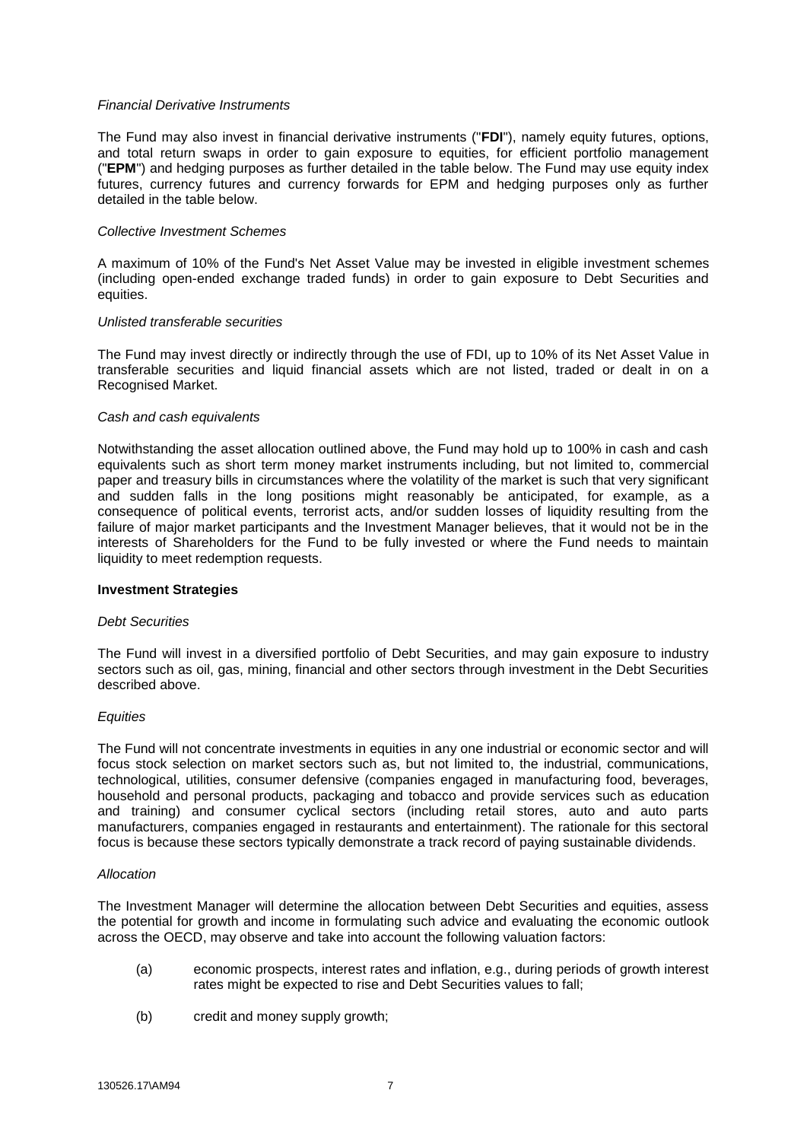### *Financial Derivative Instruments*

The Fund may also invest in financial derivative instruments ("**FDI**"), namely equity futures, options, and total return swaps in order to gain exposure to equities, for efficient portfolio management ("**EPM**") and hedging purposes as further detailed in the table below. The Fund may use equity index futures, currency futures and currency forwards for EPM and hedging purposes only as further detailed in the table below.

#### *Collective Investment Schemes*

A maximum of 10% of the Fund's Net Asset Value may be invested in eligible investment schemes (including open-ended exchange traded funds) in order to gain exposure to Debt Securities and equities.

#### *Unlisted transferable securities*

The Fund may invest directly or indirectly through the use of FDI, up to 10% of its Net Asset Value in transferable securities and liquid financial assets which are not listed, traded or dealt in on a Recognised Market.

#### *Cash and cash equivalents*

Notwithstanding the asset allocation outlined above, the Fund may hold up to 100% in cash and cash equivalents such as short term money market instruments including, but not limited to, commercial paper and treasury bills in circumstances where the volatility of the market is such that very significant and sudden falls in the long positions might reasonably be anticipated, for example, as a consequence of political events, terrorist acts, and/or sudden losses of liquidity resulting from the failure of major market participants and the Investment Manager believes, that it would not be in the interests of Shareholders for the Fund to be fully invested or where the Fund needs to maintain liquidity to meet redemption requests.

#### **Investment Strategies**

#### *Debt Securities*

The Fund will invest in a diversified portfolio of Debt Securities, and may gain exposure to industry sectors such as oil, gas, mining, financial and other sectors through investment in the Debt Securities described above.

#### *Equities*

The Fund will not concentrate investments in equities in any one industrial or economic sector and will focus stock selection on market sectors such as, but not limited to, the industrial, communications, technological, utilities, consumer defensive (companies engaged in manufacturing food, beverages, household and personal products, packaging and tobacco and provide services such as education and training) and consumer cyclical sectors (including retail stores, auto and auto parts manufacturers, companies engaged in restaurants and entertainment). The rationale for this sectoral focus is because these sectors typically demonstrate a track record of paying sustainable dividends.

#### *Allocation*

The Investment Manager will determine the allocation between Debt Securities and equities, assess the potential for growth and income in formulating such advice and evaluating the economic outlook across the OECD, may observe and take into account the following valuation factors:

- (a) economic prospects, interest rates and inflation, e.g., during periods of growth interest rates might be expected to rise and Debt Securities values to fall;
- (b) credit and money supply growth;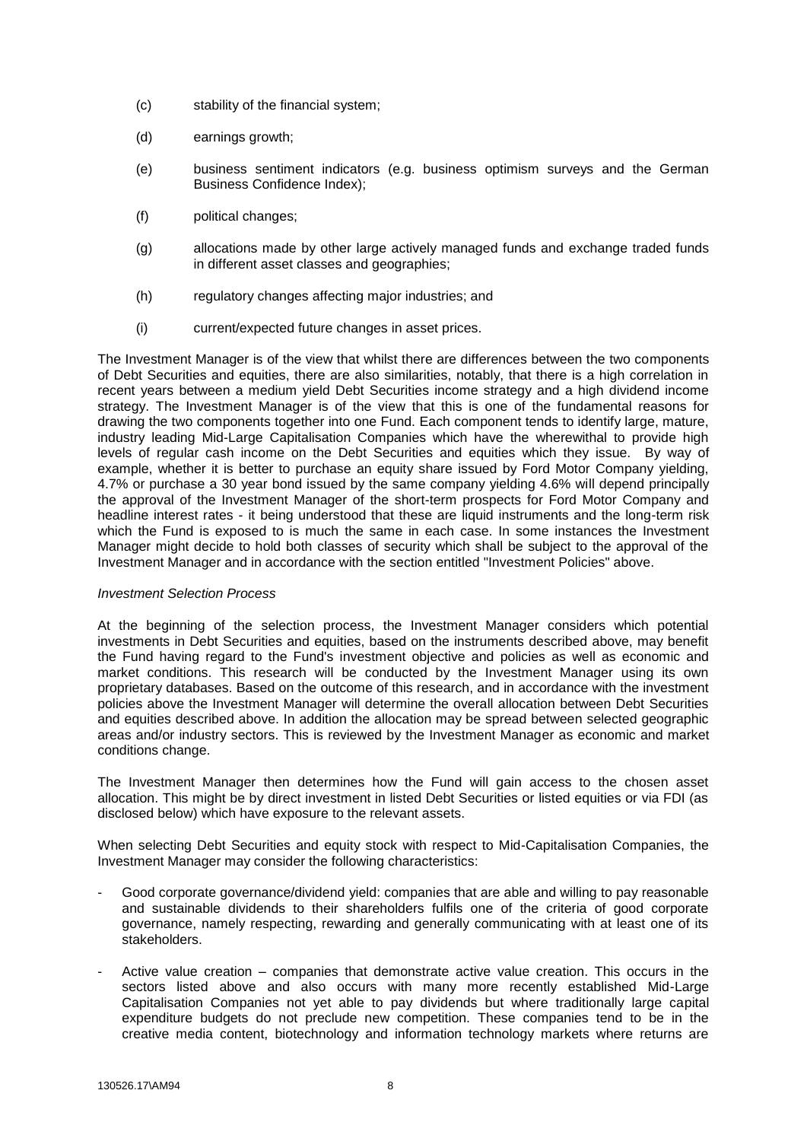- (c) stability of the financial system;
- (d) earnings growth;
- (e) business sentiment indicators (e.g. business optimism surveys and the German Business Confidence Index);
- (f) political changes;
- (g) allocations made by other large actively managed funds and exchange traded funds in different asset classes and geographies;
- (h) regulatory changes affecting major industries; and
- (i) current/expected future changes in asset prices.

The Investment Manager is of the view that whilst there are differences between the two components of Debt Securities and equities, there are also similarities, notably, that there is a high correlation in recent years between a medium yield Debt Securities income strategy and a high dividend income strategy. The Investment Manager is of the view that this is one of the fundamental reasons for drawing the two components together into one Fund. Each component tends to identify large, mature, industry leading Mid-Large Capitalisation Companies which have the wherewithal to provide high levels of regular cash income on the Debt Securities and equities which they issue. By way of example, whether it is better to purchase an equity share issued by Ford Motor Company yielding, 4.7% or purchase a 30 year bond issued by the same company yielding 4.6% will depend principally the approval of the Investment Manager of the short-term prospects for Ford Motor Company and headline interest rates - it being understood that these are liquid instruments and the long-term risk which the Fund is exposed to is much the same in each case. In some instances the Investment Manager might decide to hold both classes of security which shall be subject to the approval of the Investment Manager and in accordance with the section entitled "Investment Policies" above.

### *Investment Selection Process*

At the beginning of the selection process, the Investment Manager considers which potential investments in Debt Securities and equities, based on the instruments described above, may benefit the Fund having regard to the Fund's investment objective and policies as well as economic and market conditions. This research will be conducted by the Investment Manager using its own proprietary databases. Based on the outcome of this research, and in accordance with the investment policies above the Investment Manager will determine the overall allocation between Debt Securities and equities described above. In addition the allocation may be spread between selected geographic areas and/or industry sectors. This is reviewed by the Investment Manager as economic and market conditions change.

The Investment Manager then determines how the Fund will gain access to the chosen asset allocation. This might be by direct investment in listed Debt Securities or listed equities or via FDI (as disclosed below) which have exposure to the relevant assets.

When selecting Debt Securities and equity stock with respect to Mid-Capitalisation Companies, the Investment Manager may consider the following characteristics:

- Good corporate governance/dividend yield: companies that are able and willing to pay reasonable and sustainable dividends to their shareholders fulfils one of the criteria of good corporate governance, namely respecting, rewarding and generally communicating with at least one of its stakeholders.
- Active value creation companies that demonstrate active value creation. This occurs in the sectors listed above and also occurs with many more recently established Mid-Large Capitalisation Companies not yet able to pay dividends but where traditionally large capital expenditure budgets do not preclude new competition. These companies tend to be in the creative media content, biotechnology and information technology markets where returns are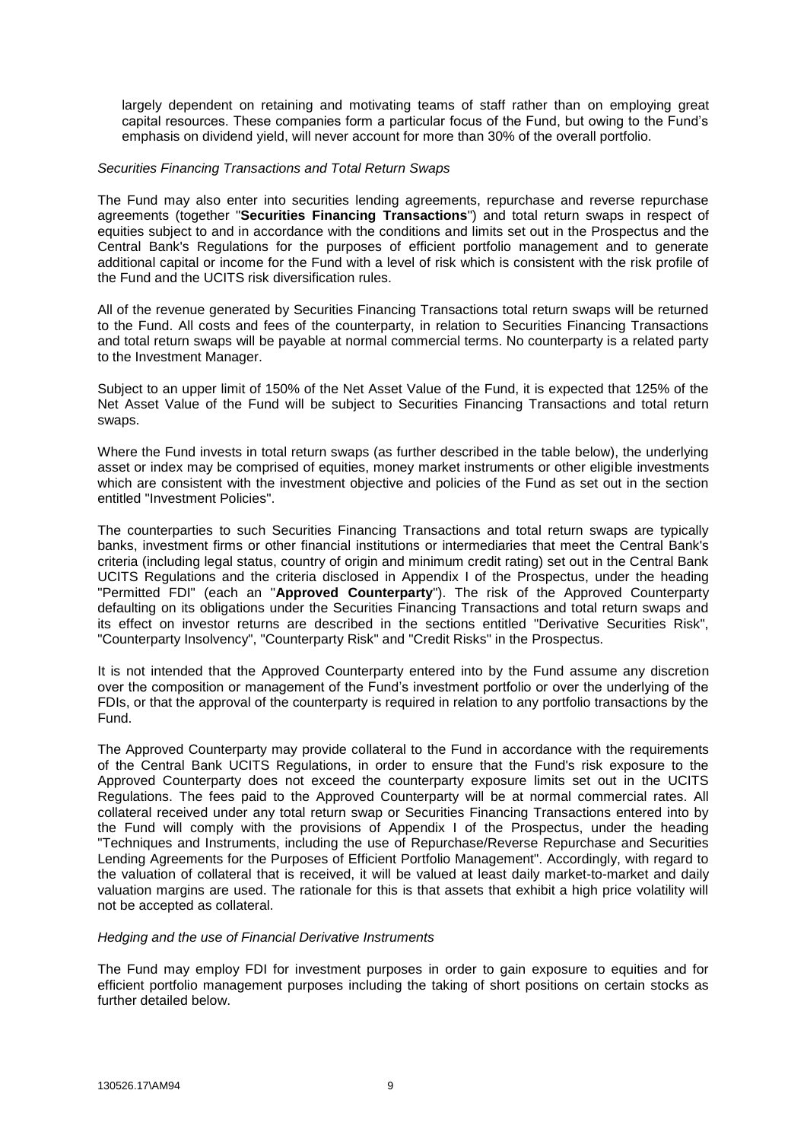largely dependent on retaining and motivating teams of staff rather than on employing great capital resources. These companies form a particular focus of the Fund, but owing to the Fund's emphasis on dividend yield, will never account for more than 30% of the overall portfolio.

#### *Securities Financing Transactions and Total Return Swaps*

The Fund may also enter into securities lending agreements, repurchase and reverse repurchase agreements (together "**Securities Financing Transactions**") and total return swaps in respect of equities subject to and in accordance with the conditions and limits set out in the Prospectus and the Central Bank's Regulations for the purposes of efficient portfolio management and to generate additional capital or income for the Fund with a level of risk which is consistent with the risk profile of the Fund and the UCITS risk diversification rules.

All of the revenue generated by Securities Financing Transactions total return swaps will be returned to the Fund. All costs and fees of the counterparty, in relation to Securities Financing Transactions and total return swaps will be payable at normal commercial terms. No counterparty is a related party to the Investment Manager.

Subject to an upper limit of 150% of the Net Asset Value of the Fund, it is expected that 125% of the Net Asset Value of the Fund will be subject to Securities Financing Transactions and total return swaps.

Where the Fund invests in total return swaps (as further described in the table below), the underlying asset or index may be comprised of equities, money market instruments or other eligible investments which are consistent with the investment objective and policies of the Fund as set out in the section entitled "Investment Policies".

The counterparties to such Securities Financing Transactions and total return swaps are typically banks, investment firms or other financial institutions or intermediaries that meet the Central Bank's criteria (including legal status, country of origin and minimum credit rating) set out in the Central Bank UCITS Regulations and the criteria disclosed in Appendix I of the Prospectus, under the heading "Permitted FDI" (each an "**Approved Counterparty**"). The risk of the Approved Counterparty defaulting on its obligations under the Securities Financing Transactions and total return swaps and its effect on investor returns are described in the sections entitled "Derivative Securities Risk", "Counterparty Insolvency", "Counterparty Risk" and "Credit Risks" in the Prospectus.

It is not intended that the Approved Counterparty entered into by the Fund assume any discretion over the composition or management of the Fund's investment portfolio or over the underlying of the FDIs, or that the approval of the counterparty is required in relation to any portfolio transactions by the Fund.

The Approved Counterparty may provide collateral to the Fund in accordance with the requirements of the Central Bank UCITS Regulations, in order to ensure that the Fund's risk exposure to the Approved Counterparty does not exceed the counterparty exposure limits set out in the UCITS Regulations. The fees paid to the Approved Counterparty will be at normal commercial rates. All collateral received under any total return swap or Securities Financing Transactions entered into by the Fund will comply with the provisions of Appendix I of the Prospectus, under the heading "Techniques and Instruments, including the use of Repurchase/Reverse Repurchase and Securities Lending Agreements for the Purposes of Efficient Portfolio Management". Accordingly, with regard to the valuation of collateral that is received, it will be valued at least daily market-to-market and daily valuation margins are used. The rationale for this is that assets that exhibit a high price volatility will not be accepted as collateral.

#### *Hedging and the use of Financial Derivative Instruments*

The Fund may employ FDI for investment purposes in order to gain exposure to equities and for efficient portfolio management purposes including the taking of short positions on certain stocks as further detailed below.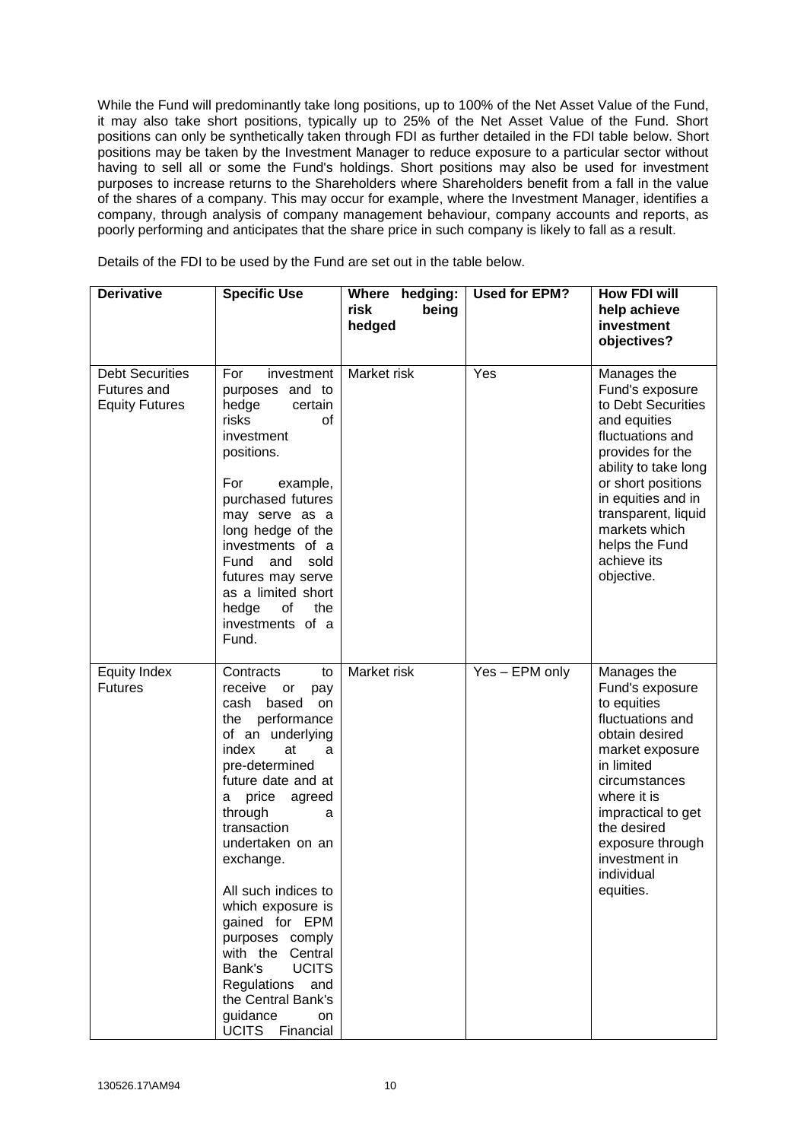While the Fund will predominantly take long positions, up to 100% of the Net Asset Value of the Fund, it may also take short positions, typically up to 25% of the Net Asset Value of the Fund. Short positions can only be synthetically taken through FDI as further detailed in the FDI table below. Short positions may be taken by the Investment Manager to reduce exposure to a particular sector without having to sell all or some the Fund's holdings. Short positions may also be used for investment purposes to increase returns to the Shareholders where Shareholders benefit from a fall in the value of the shares of a company. This may occur for example, where the Investment Manager, identifies a company, through analysis of company management behaviour, company accounts and reports, as poorly performing and anticipates that the share price in such company is likely to fall as a result.

Details of the FDI to be used by the Fund are set out in the table below.

| <b>Derivative</b>                                              | <b>Specific Use</b>                                                                                                                                                                                                                                                                                                                                                                                                                                                     | Where hedging:<br>risk<br>being<br>hedged | <b>Used for EPM?</b> | <b>How FDI will</b><br>help achieve<br>investment<br>objectives?                                                                                                                                                                                                        |
|----------------------------------------------------------------|-------------------------------------------------------------------------------------------------------------------------------------------------------------------------------------------------------------------------------------------------------------------------------------------------------------------------------------------------------------------------------------------------------------------------------------------------------------------------|-------------------------------------------|----------------------|-------------------------------------------------------------------------------------------------------------------------------------------------------------------------------------------------------------------------------------------------------------------------|
| <b>Debt Securities</b><br>Futures and<br><b>Equity Futures</b> | For<br>investment<br>and to<br>purposes<br>hedge<br>certain<br>risks<br>of<br>investment<br>positions.<br>For<br>example,<br>purchased futures<br>may serve as a<br>long hedge of the<br>investments of a<br>Fund<br>sold<br>and<br>futures may serve<br>as a limited short<br>hedge<br>οf<br>the<br>investments of a<br>Fund.                                                                                                                                          | Market risk                               | Yes                  | Manages the<br>Fund's exposure<br>to Debt Securities<br>and equities<br>fluctuations and<br>provides for the<br>ability to take long<br>or short positions<br>in equities and in<br>transparent, liquid<br>markets which<br>helps the Fund<br>achieve its<br>objective. |
| <b>Equity Index</b><br><b>Futures</b>                          | Contracts<br>to<br>receive<br>or<br>pay<br>cash based<br>on<br>the performance<br>of an underlying<br>index<br>at<br>a<br>pre-determined<br>future date and at<br>price agreed<br>а<br>through<br>a<br>transaction<br>undertaken on an<br>exchange.<br>All such indices to<br>which exposure is<br>gained for EPM<br>purposes comply<br>with the Central<br><b>UCITS</b><br>Bank's<br>Regulations and<br>the Central Bank's<br>guidance<br><b>on</b><br>UCITS Financial | Market risk                               | Yes - EPM only       | Manages the<br>Fund's exposure<br>to equities<br>fluctuations and<br>obtain desired<br>market exposure<br>in limited<br>circumstances<br>where it is<br>impractical to get<br>the desired<br>exposure through<br>investment in<br>individual<br>equities.               |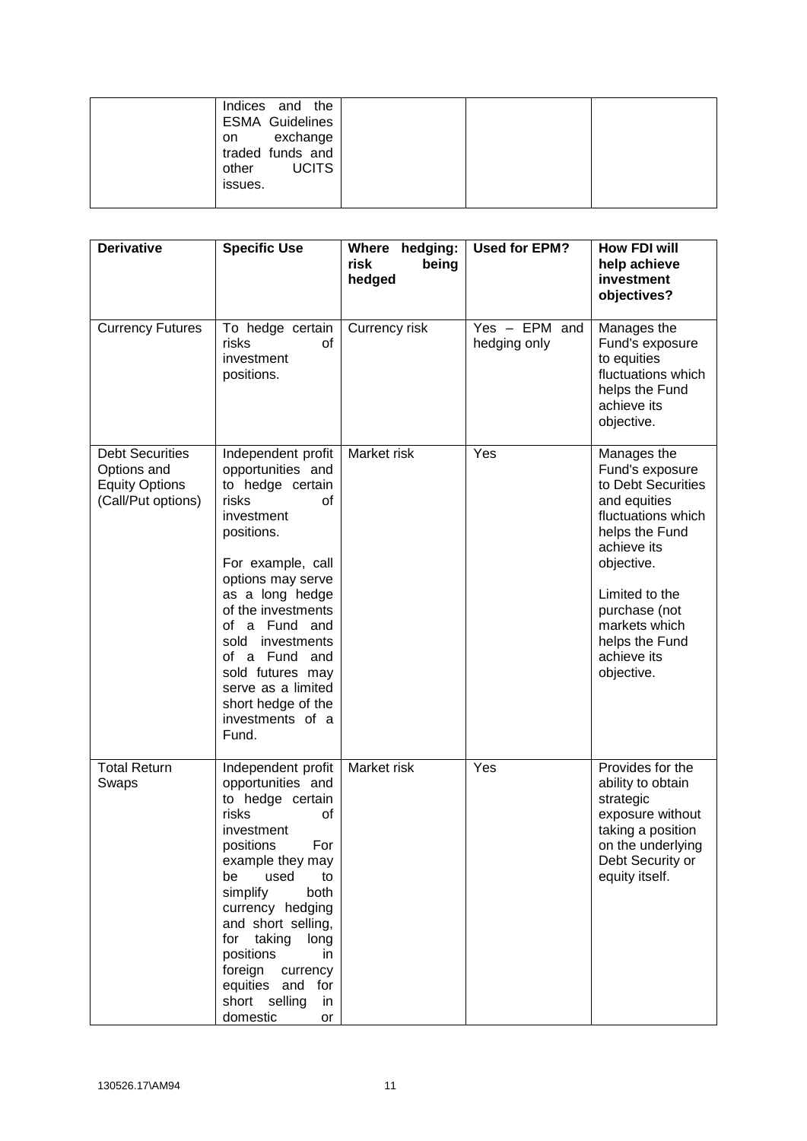| on<br>other<br>issues. | Indices and the<br><b>ESMA Guidelines</b><br>exchange<br>traded funds and<br><b>UCITS</b> |  |
|------------------------|-------------------------------------------------------------------------------------------|--|
|                        |                                                                                           |  |

| <b>Derivative</b>                                                                    | <b>Specific Use</b>                                                                                                                                                                                                                                                                                                                             | Where hedging:<br>risk<br>being<br>hedged | <b>Used for EPM?</b>            | <b>How FDI will</b><br>help achieve<br>investment<br>objectives?                                                                                                                                                                             |
|--------------------------------------------------------------------------------------|-------------------------------------------------------------------------------------------------------------------------------------------------------------------------------------------------------------------------------------------------------------------------------------------------------------------------------------------------|-------------------------------------------|---------------------------------|----------------------------------------------------------------------------------------------------------------------------------------------------------------------------------------------------------------------------------------------|
| <b>Currency Futures</b>                                                              | To hedge certain<br>risks<br>of<br>investment<br>positions.                                                                                                                                                                                                                                                                                     | Currency risk                             | $Yes - EPM$ and<br>hedging only | Manages the<br>Fund's exposure<br>to equities<br>fluctuations which<br>helps the Fund<br>achieve its<br>objective.                                                                                                                           |
| <b>Debt Securities</b><br>Options and<br><b>Equity Options</b><br>(Call/Put options) | Independent profit<br>opportunities and<br>to hedge certain<br>risks<br>οf<br>investment<br>positions.<br>For example, call<br>options may serve<br>as a long hedge<br>of the investments<br>of a Fund and<br>sold<br>investments<br>of a Fund and<br>sold futures may<br>serve as a limited<br>short hedge of the<br>investments of a<br>Fund. | Market risk                               | Yes                             | Manages the<br>Fund's exposure<br>to Debt Securities<br>and equities<br>fluctuations which<br>helps the Fund<br>achieve its<br>objective.<br>Limited to the<br>purchase (not<br>markets which<br>helps the Fund<br>achieve its<br>objective. |
| <b>Total Return</b><br>Swaps                                                         | Independent profit<br>opportunities and<br>to hedge certain<br>risks<br>οf<br>investment<br>For<br>positions<br>example they may<br>be used<br>to<br>simplify<br>both<br>currency hedging<br>and short selling,<br>for taking<br>long<br>positions<br>in<br>foreign currency<br>equities and for<br>short selling<br>in<br>domestic<br>or       | Market risk                               | Yes                             | Provides for the<br>ability to obtain<br>strategic<br>exposure without<br>taking a position<br>on the underlying<br>Debt Security or<br>equity itself.                                                                                       |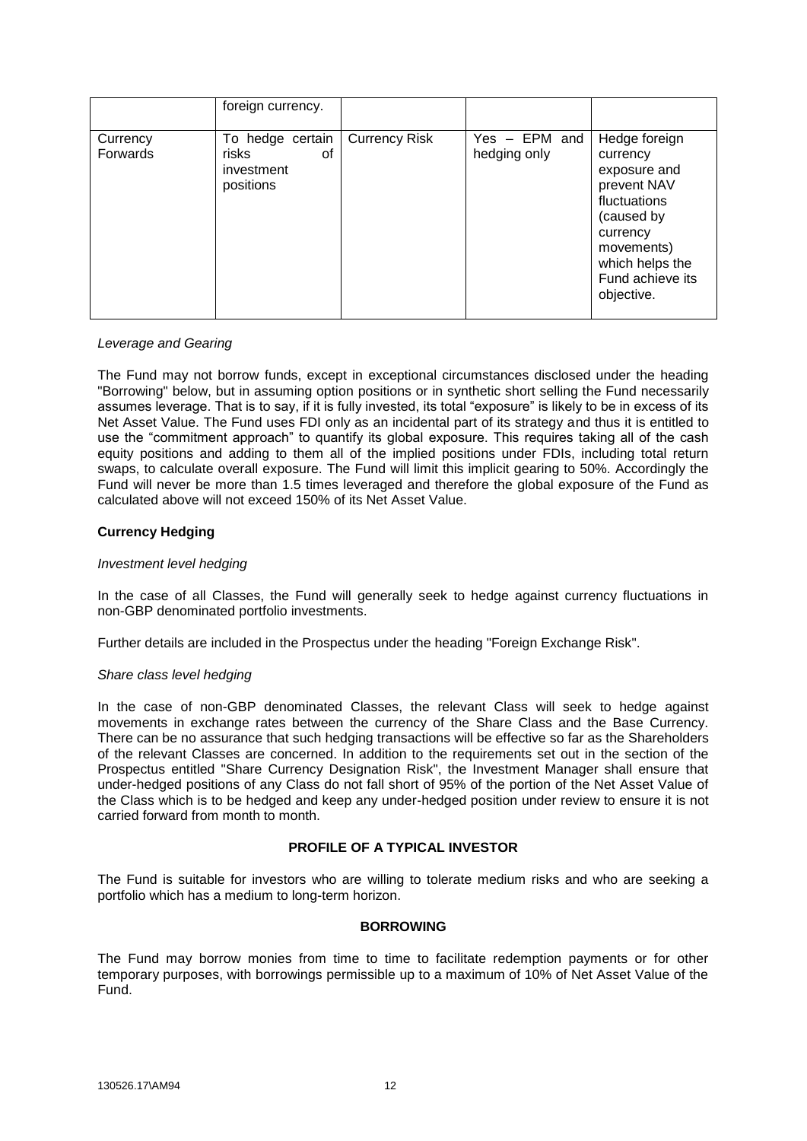|                      | foreign currency.                                          |                      |                                 |                                                                                                                                                                       |
|----------------------|------------------------------------------------------------|----------------------|---------------------------------|-----------------------------------------------------------------------------------------------------------------------------------------------------------------------|
| Currency<br>Forwards | To hedge certain<br>risks<br>οf<br>investment<br>positions | <b>Currency Risk</b> | $Yes - EPM$ and<br>hedging only | Hedge foreign<br>currency<br>exposure and<br>prevent NAV<br>fluctuations<br>(caused by<br>currency<br>movements)<br>which helps the<br>Fund achieve its<br>objective. |

### *Leverage and Gearing*

The Fund may not borrow funds, except in exceptional circumstances disclosed under the heading "Borrowing" below, but in assuming option positions or in synthetic short selling the Fund necessarily assumes leverage. That is to say, if it is fully invested, its total "exposure" is likely to be in excess of its Net Asset Value. The Fund uses FDI only as an incidental part of its strategy and thus it is entitled to use the "commitment approach" to quantify its global exposure. This requires taking all of the cash equity positions and adding to them all of the implied positions under FDIs, including total return swaps, to calculate overall exposure. The Fund will limit this implicit gearing to 50%. Accordingly the Fund will never be more than 1.5 times leveraged and therefore the global exposure of the Fund as calculated above will not exceed 150% of its Net Asset Value.

# **Currency Hedging**

### *Investment level hedging*

In the case of all Classes, the Fund will generally seek to hedge against currency fluctuations in non-GBP denominated portfolio investments.

Further details are included in the Prospectus under the heading "Foreign Exchange Risk".

### *Share class level hedging*

In the case of non-GBP denominated Classes, the relevant Class will seek to hedge against movements in exchange rates between the currency of the Share Class and the Base Currency. There can be no assurance that such hedging transactions will be effective so far as the Shareholders of the relevant Classes are concerned. In addition to the requirements set out in the section of the Prospectus entitled "Share Currency Designation Risk", the Investment Manager shall ensure that under-hedged positions of any Class do not fall short of 95% of the portion of the Net Asset Value of the Class which is to be hedged and keep any under-hedged position under review to ensure it is not carried forward from month to month.

# **PROFILE OF A TYPICAL INVESTOR**

The Fund is suitable for investors who are willing to tolerate medium risks and who are seeking a portfolio which has a medium to long-term horizon.

# **BORROWING**

The Fund may borrow monies from time to time to facilitate redemption payments or for other temporary purposes, with borrowings permissible up to a maximum of 10% of Net Asset Value of the Fund.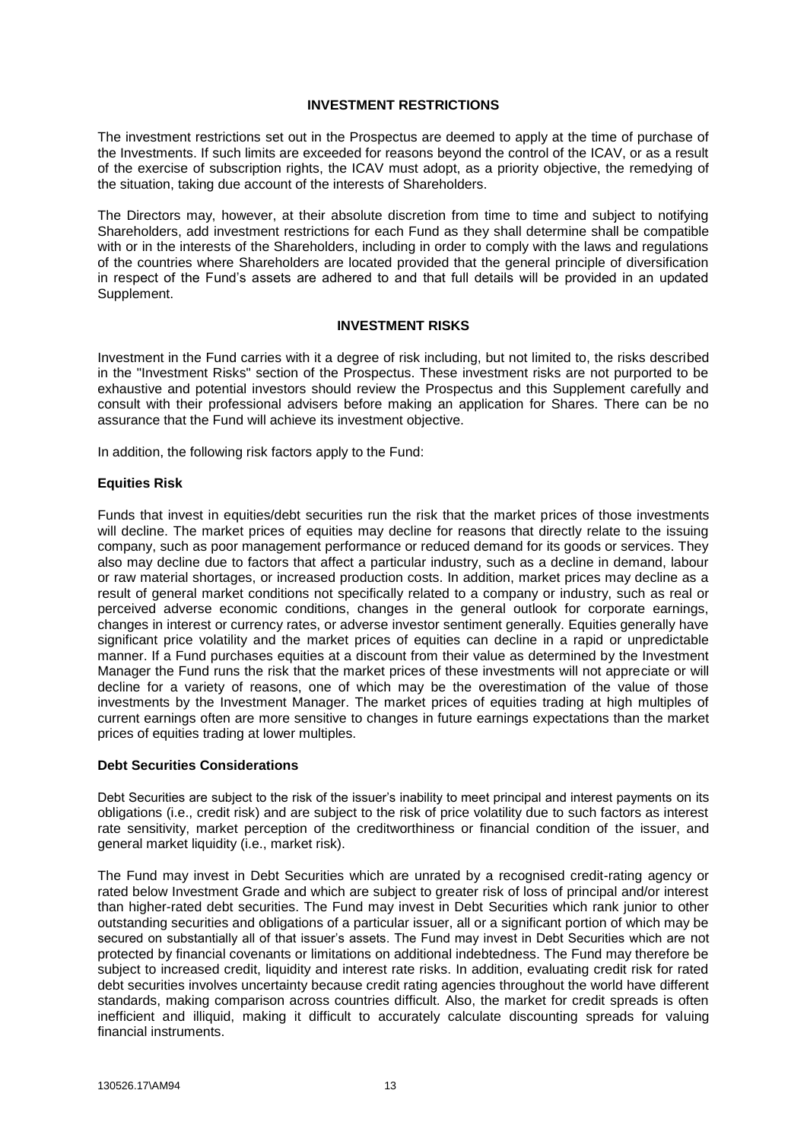### **INVESTMENT RESTRICTIONS**

The investment restrictions set out in the Prospectus are deemed to apply at the time of purchase of the Investments. If such limits are exceeded for reasons beyond the control of the ICAV, or as a result of the exercise of subscription rights, the ICAV must adopt, as a priority objective, the remedying of the situation, taking due account of the interests of Shareholders.

The Directors may, however, at their absolute discretion from time to time and subject to notifying Shareholders, add investment restrictions for each Fund as they shall determine shall be compatible with or in the interests of the Shareholders, including in order to comply with the laws and regulations of the countries where Shareholders are located provided that the general principle of diversification in respect of the Fund's assets are adhered to and that full details will be provided in an updated Supplement.

# **INVESTMENT RISKS**

Investment in the Fund carries with it a degree of risk including, but not limited to, the risks described in the "Investment Risks" section of the Prospectus. These investment risks are not purported to be exhaustive and potential investors should review the Prospectus and this Supplement carefully and consult with their professional advisers before making an application for Shares. There can be no assurance that the Fund will achieve its investment objective.

In addition, the following risk factors apply to the Fund:

# **Equities Risk**

Funds that invest in equities/debt securities run the risk that the market prices of those investments will decline. The market prices of equities may decline for reasons that directly relate to the issuing company, such as poor management performance or reduced demand for its goods or services. They also may decline due to factors that affect a particular industry, such as a decline in demand, labour or raw material shortages, or increased production costs. In addition, market prices may decline as a result of general market conditions not specifically related to a company or industry, such as real or perceived adverse economic conditions, changes in the general outlook for corporate earnings, changes in interest or currency rates, or adverse investor sentiment generally. Equities generally have significant price volatility and the market prices of equities can decline in a rapid or unpredictable manner. If a Fund purchases equities at a discount from their value as determined by the Investment Manager the Fund runs the risk that the market prices of these investments will not appreciate or will decline for a variety of reasons, one of which may be the overestimation of the value of those investments by the Investment Manager. The market prices of equities trading at high multiples of current earnings often are more sensitive to changes in future earnings expectations than the market prices of equities trading at lower multiples.

# **Debt Securities Considerations**

Debt Securities are subject to the risk of the issuer's inability to meet principal and interest payments on its obligations (i.e., credit risk) and are subject to the risk of price volatility due to such factors as interest rate sensitivity, market perception of the creditworthiness or financial condition of the issuer, and general market liquidity (i.e., market risk).

The Fund may invest in Debt Securities which are unrated by a recognised credit-rating agency or rated below Investment Grade and which are subject to greater risk of loss of principal and/or interest than higher-rated debt securities. The Fund may invest in Debt Securities which rank junior to other outstanding securities and obligations of a particular issuer, all or a significant portion of which may be secured on substantially all of that issuer's assets. The Fund may invest in Debt Securities which are not protected by financial covenants or limitations on additional indebtedness. The Fund may therefore be subject to increased credit, liquidity and interest rate risks. In addition, evaluating credit risk for rated debt securities involves uncertainty because credit rating agencies throughout the world have different standards, making comparison across countries difficult. Also, the market for credit spreads is often inefficient and illiquid, making it difficult to accurately calculate discounting spreads for valuing financial instruments.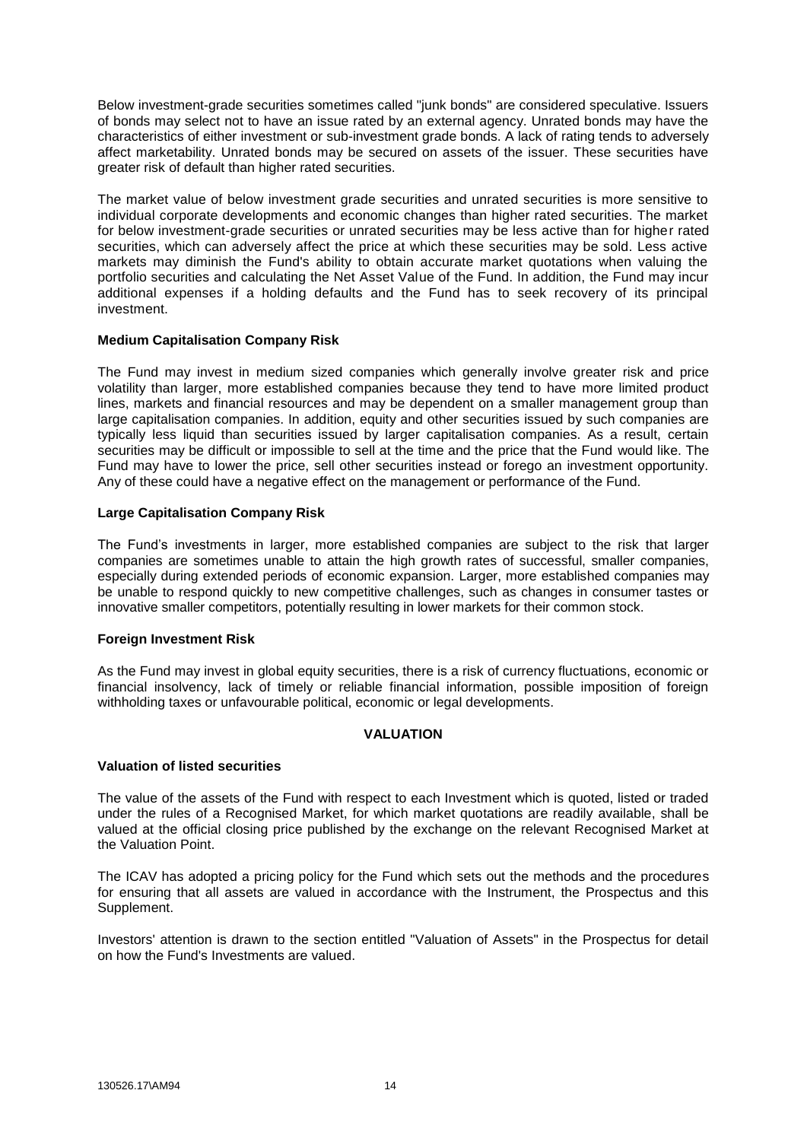Below investment-grade securities sometimes called "junk bonds" are considered speculative. Issuers of bonds may select not to have an issue rated by an external agency. Unrated bonds may have the characteristics of either investment or sub-investment grade bonds. A lack of rating tends to adversely affect marketability. Unrated bonds may be secured on assets of the issuer. These securities have greater risk of default than higher rated securities.

The market value of below investment grade securities and unrated securities is more sensitive to individual corporate developments and economic changes than higher rated securities. The market for below investment-grade securities or unrated securities may be less active than for higher rated securities, which can adversely affect the price at which these securities may be sold. Less active markets may diminish the Fund's ability to obtain accurate market quotations when valuing the portfolio securities and calculating the Net Asset Value of the Fund. In addition, the Fund may incur additional expenses if a holding defaults and the Fund has to seek recovery of its principal investment.

# **Medium Capitalisation Company Risk**

The Fund may invest in medium sized companies which generally involve greater risk and price volatility than larger, more established companies because they tend to have more limited product lines, markets and financial resources and may be dependent on a smaller management group than large capitalisation companies. In addition, equity and other securities issued by such companies are typically less liquid than securities issued by larger capitalisation companies. As a result, certain securities may be difficult or impossible to sell at the time and the price that the Fund would like. The Fund may have to lower the price, sell other securities instead or forego an investment opportunity. Any of these could have a negative effect on the management or performance of the Fund.

# **Large Capitalisation Company Risk**

The Fund's investments in larger, more established companies are subject to the risk that larger companies are sometimes unable to attain the high growth rates of successful, smaller companies, especially during extended periods of economic expansion. Larger, more established companies may be unable to respond quickly to new competitive challenges, such as changes in consumer tastes or innovative smaller competitors, potentially resulting in lower markets for their common stock.

### **Foreign Investment Risk**

As the Fund may invest in global equity securities, there is a risk of currency fluctuations, economic or financial insolvency, lack of timely or reliable financial information, possible imposition of foreign withholding taxes or unfavourable political, economic or legal developments.

### **VALUATION**

### **Valuation of listed securities**

The value of the assets of the Fund with respect to each Investment which is quoted, listed or traded under the rules of a Recognised Market, for which market quotations are readily available, shall be valued at the official closing price published by the exchange on the relevant Recognised Market at the Valuation Point.

The ICAV has adopted a pricing policy for the Fund which sets out the methods and the procedures for ensuring that all assets are valued in accordance with the Instrument, the Prospectus and this Supplement.

Investors' attention is drawn to the section entitled "Valuation of Assets" in the Prospectus for detail on how the Fund's Investments are valued.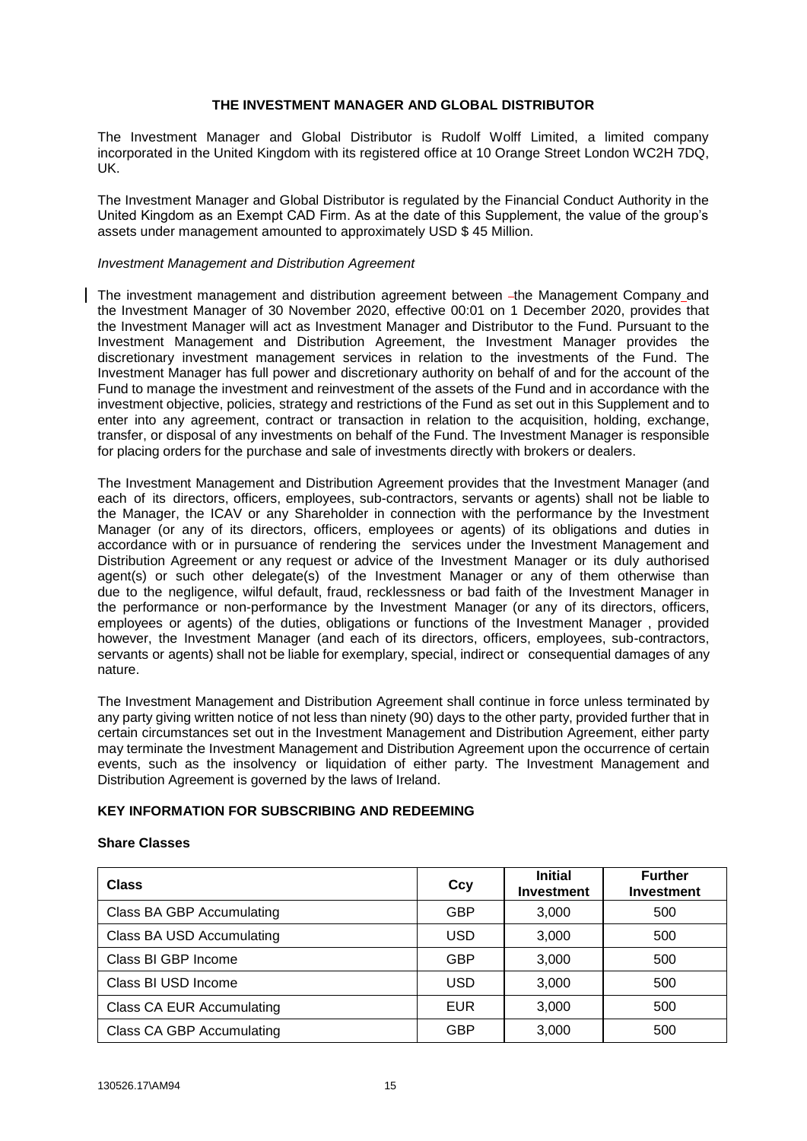# **THE INVESTMENT MANAGER AND GLOBAL DISTRIBUTOR**

The Investment Manager and Global Distributor is Rudolf Wolff Limited, a limited company incorporated in the United Kingdom with its registered office at 10 Orange Street London WC2H 7DQ, UK.

The Investment Manager and Global Distributor is regulated by the Financial Conduct Authority in the United Kingdom as an Exempt CAD Firm. As at the date of this Supplement, the value of the group's assets under management amounted to approximately USD \$ 45 Million.

### *Investment Management and Distribution Agreement*

The investment management and distribution agreement between -the Management Company and the Investment Manager of 30 November 2020, effective 00:01 on 1 December 2020, provides that the Investment Manager will act as Investment Manager and Distributor to the Fund. Pursuant to the Investment Management and Distribution Agreement, the Investment Manager provides the discretionary investment management services in relation to the investments of the Fund. The Investment Manager has full power and discretionary authority on behalf of and for the account of the Fund to manage the investment and reinvestment of the assets of the Fund and in accordance with the investment objective, policies, strategy and restrictions of the Fund as set out in this Supplement and to enter into any agreement, contract or transaction in relation to the acquisition, holding, exchange, transfer, or disposal of any investments on behalf of the Fund. The Investment Manager is responsible for placing orders for the purchase and sale of investments directly with brokers or dealers.

The Investment Management and Distribution Agreement provides that the Investment Manager (and each of its directors, officers, employees, sub-contractors, servants or agents) shall not be liable to the Manager, the ICAV or any Shareholder in connection with the performance by the Investment Manager (or any of its directors, officers, employees or agents) of its obligations and duties in accordance with or in pursuance of rendering the services under the Investment Management and Distribution Agreement or any request or advice of the Investment Manager or its duly authorised agent(s) or such other delegate(s) of the Investment Manager or any of them otherwise than due to the negligence, wilful default, fraud, recklessness or bad faith of the Investment Manager in the performance or non-performance by the Investment Manager (or any of its directors, officers, employees or agents) of the duties, obligations or functions of the Investment Manager , provided however, the Investment Manager (and each of its directors, officers, employees, sub-contractors, servants or agents) shall not be liable for exemplary, special, indirect or consequential damages of any nature.

The Investment Management and Distribution Agreement shall continue in force unless terminated by any party giving written notice of not less than ninety (90) days to the other party, provided further that in certain circumstances set out in the Investment Management and Distribution Agreement, either party may terminate the Investment Management and Distribution Agreement upon the occurrence of certain events, such as the insolvency or liquidation of either party. The Investment Management and Distribution Agreement is governed by the laws of Ireland.

### **KEY INFORMATION FOR SUBSCRIBING AND REDEEMING**

### **Share Classes**

| <b>Class</b>                     | Ccy        | <b>Initial</b><br><b>Investment</b> | <b>Further</b><br><b>Investment</b> |
|----------------------------------|------------|-------------------------------------|-------------------------------------|
| Class BA GBP Accumulating        | <b>GBP</b> | 3,000                               | 500                                 |
| Class BA USD Accumulating        | <b>USD</b> | 3,000                               | 500                                 |
| Class BI GBP Income              | <b>GBP</b> | 3,000                               | 500                                 |
| Class BI USD Income              | <b>USD</b> | 3,000                               | 500                                 |
| <b>Class CA EUR Accumulating</b> | <b>EUR</b> | 3,000                               | 500                                 |
| <b>Class CA GBP Accumulating</b> | <b>GBP</b> | 3,000                               | 500                                 |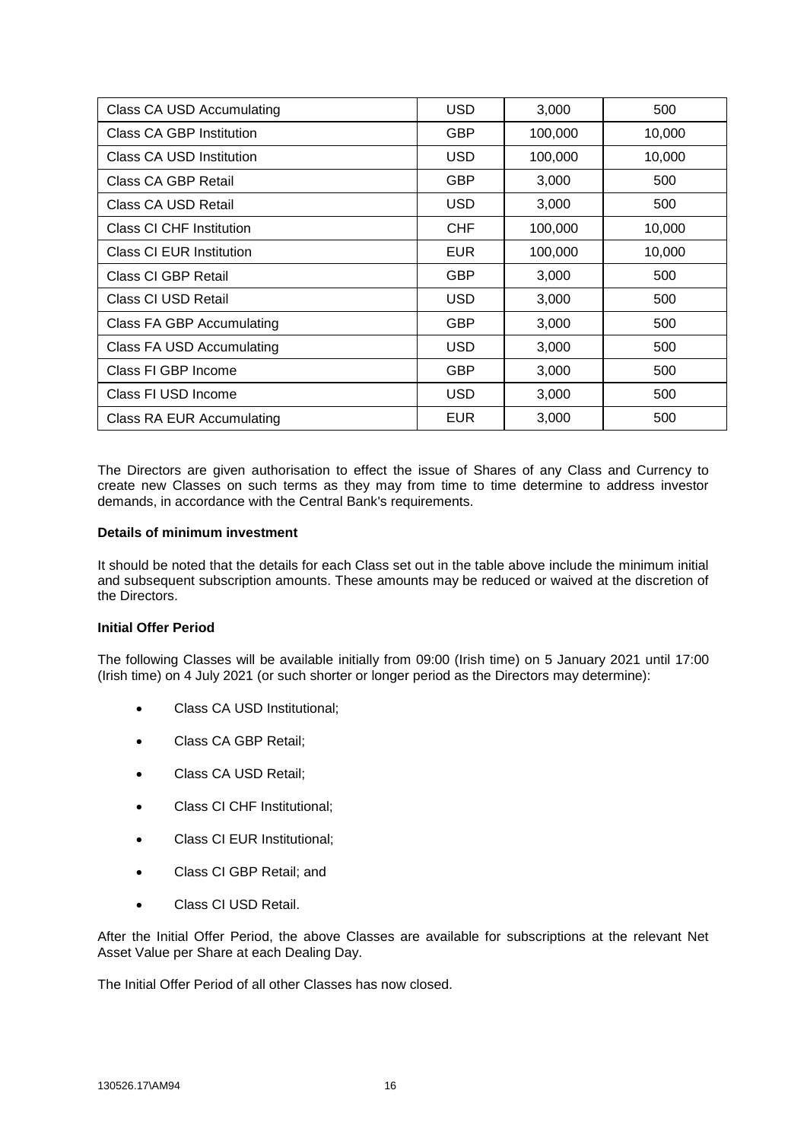| Class CA USD Accumulating       | <b>USD</b> | 3,000   | 500    |
|---------------------------------|------------|---------|--------|
| Class CA GBP Institution        | <b>GBP</b> | 100,000 | 10,000 |
| Class CA USD Institution        | <b>USD</b> | 100,000 | 10,000 |
| Class CA GBP Retail             | <b>GBP</b> | 3,000   | 500    |
| Class CA USD Retail             | <b>USD</b> | 3,000   | 500    |
| Class CI CHF Institution        | <b>CHF</b> | 100,000 | 10,000 |
| <b>Class CI EUR Institution</b> | <b>EUR</b> | 100,000 | 10,000 |
| Class CI GBP Retail             | <b>GBP</b> | 3,000   | 500    |
| Class CI USD Retail             | <b>USD</b> | 3,000   | 500    |
| Class FA GBP Accumulating       | <b>GBP</b> | 3,000   | 500    |
| Class FA USD Accumulating       | <b>USD</b> | 3,000   | 500    |
| Class FI GBP Income             | <b>GBP</b> | 3,000   | 500    |
| Class FI USD Income             | <b>USD</b> | 3,000   | 500    |
| Class RA EUR Accumulating       | <b>EUR</b> | 3,000   | 500    |

The Directors are given authorisation to effect the issue of Shares of any Class and Currency to create new Classes on such terms as they may from time to time determine to address investor demands, in accordance with the Central Bank's requirements.

# **Details of minimum investment**

It should be noted that the details for each Class set out in the table above include the minimum initial and subsequent subscription amounts. These amounts may be reduced or waived at the discretion of the Directors.

### **Initial Offer Period**

The following Classes will be available initially from 09:00 (Irish time) on 5 January 2021 until 17:00 (Irish time) on 4 July 2021 (or such shorter or longer period as the Directors may determine):

- Class CA USD Institutional;
- Class CA GBP Retail;
- Class CA USD Retail;
- Class CI CHF Institutional;
- Class CI EUR Institutional;
- Class CI GBP Retail; and
- Class CI USD Retail.

After the Initial Offer Period, the above Classes are available for subscriptions at the relevant Net Asset Value per Share at each Dealing Day.

The Initial Offer Period of all other Classes has now closed.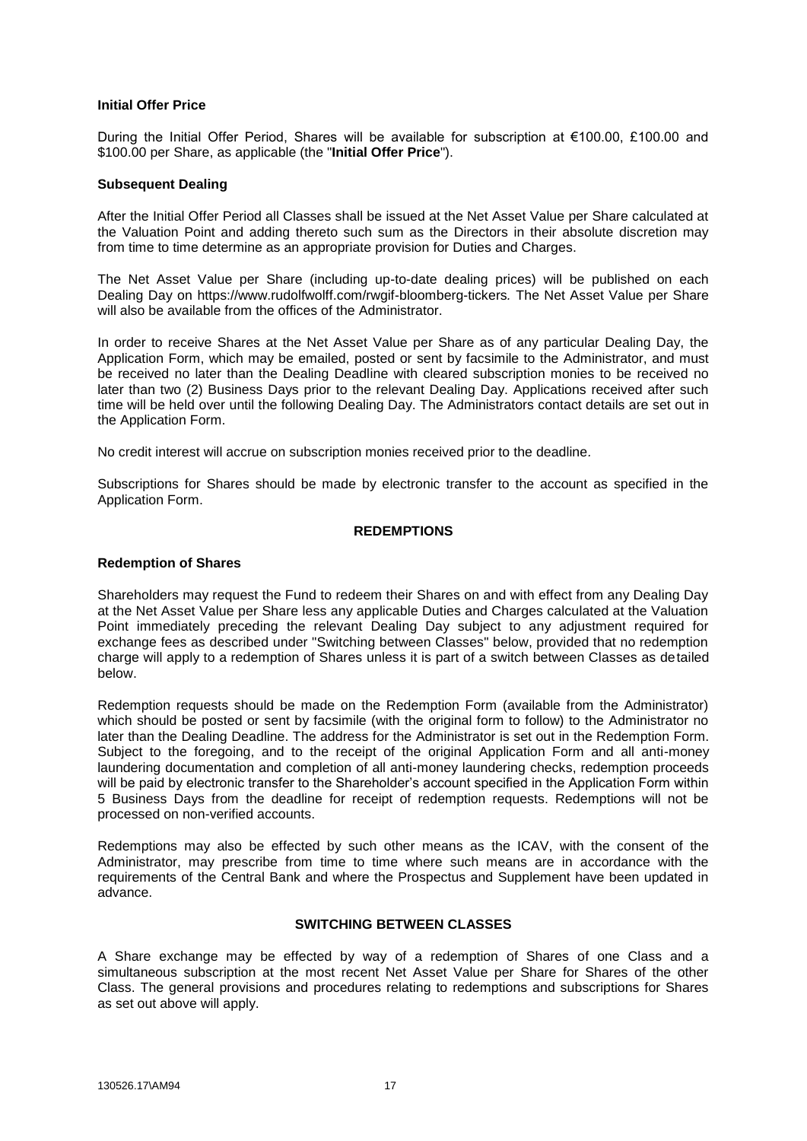# **Initial Offer Price**

During the Initial Offer Period, Shares will be available for subscription at €100.00, £100.00 and \$100.00 per Share, as applicable (the "**Initial Offer Price**").

### **Subsequent Dealing**

After the Initial Offer Period all Classes shall be issued at the Net Asset Value per Share calculated at the Valuation Point and adding thereto such sum as the Directors in their absolute discretion may from time to time determine as an appropriate provision for Duties and Charges.

The Net Asset Value per Share (including up-to-date dealing prices) will be published on each Dealing Day on https://www.rudolfwolff.com/rwgif-bloomberg-tickers*.* The Net Asset Value per Share will also be available from the offices of the Administrator.

In order to receive Shares at the Net Asset Value per Share as of any particular Dealing Day, the Application Form, which may be emailed, posted or sent by facsimile to the Administrator, and must be received no later than the Dealing Deadline with cleared subscription monies to be received no later than two (2) Business Days prior to the relevant Dealing Day. Applications received after such time will be held over until the following Dealing Day. The Administrators contact details are set out in the Application Form.

No credit interest will accrue on subscription monies received prior to the deadline*.*

Subscriptions for Shares should be made by electronic transfer to the account as specified in the Application Form.

## **REDEMPTIONS**

# **Redemption of Shares**

Shareholders may request the Fund to redeem their Shares on and with effect from any Dealing Day at the Net Asset Value per Share less any applicable Duties and Charges calculated at the Valuation Point immediately preceding the relevant Dealing Day subject to any adjustment required for exchange fees as described under "Switching between Classes" below, provided that no redemption charge will apply to a redemption of Shares unless it is part of a switch between Classes as detailed below.

Redemption requests should be made on the Redemption Form (available from the Administrator) which should be posted or sent by facsimile (with the original form to follow) to the Administrator no later than the Dealing Deadline. The address for the Administrator is set out in the Redemption Form. Subject to the foregoing, and to the receipt of the original Application Form and all anti-money laundering documentation and completion of all anti-money laundering checks, redemption proceeds will be paid by electronic transfer to the Shareholder's account specified in the Application Form within 5 Business Days from the deadline for receipt of redemption requests. Redemptions will not be processed on non-verified accounts.

Redemptions may also be effected by such other means as the ICAV, with the consent of the Administrator, may prescribe from time to time where such means are in accordance with the requirements of the Central Bank and where the Prospectus and Supplement have been updated in advance.

# **SWITCHING BETWEEN CLASSES**

A Share exchange may be effected by way of a redemption of Shares of one Class and a simultaneous subscription at the most recent Net Asset Value per Share for Shares of the other Class. The general provisions and procedures relating to redemptions and subscriptions for Shares as set out above will apply.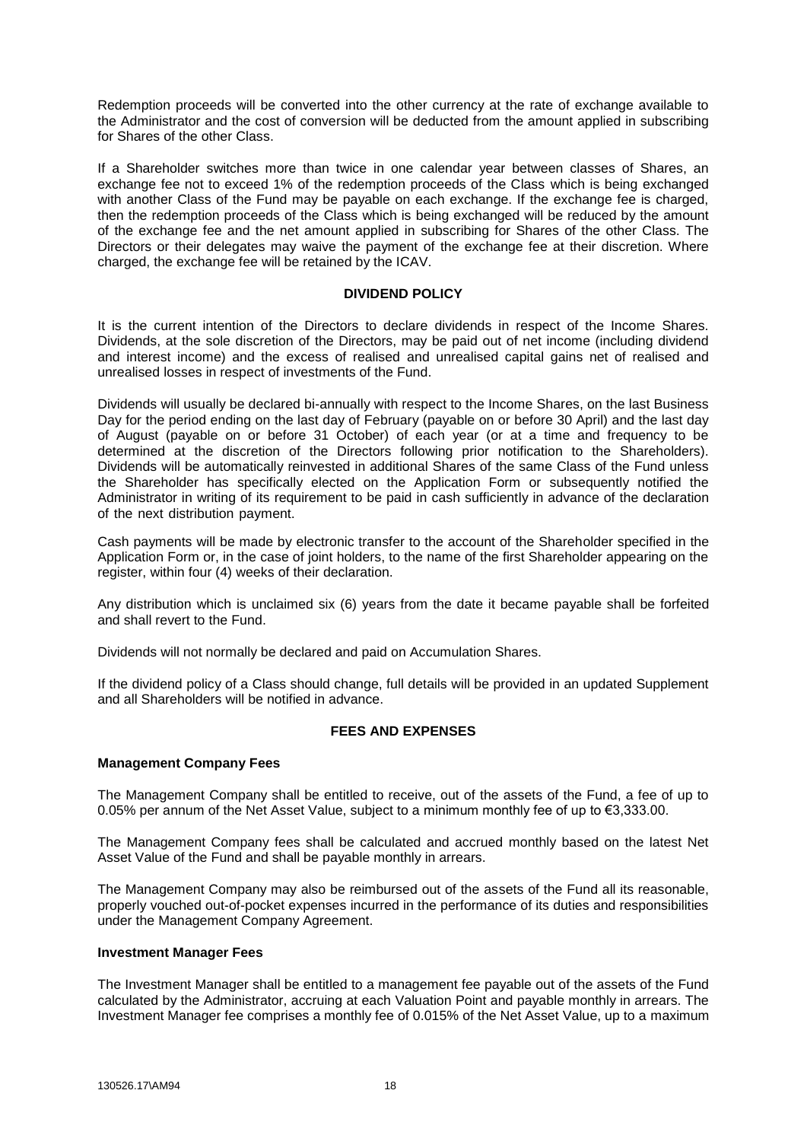Redemption proceeds will be converted into the other currency at the rate of exchange available to the Administrator and the cost of conversion will be deducted from the amount applied in subscribing for Shares of the other Class.

If a Shareholder switches more than twice in one calendar year between classes of Shares, an exchange fee not to exceed 1% of the redemption proceeds of the Class which is being exchanged with another Class of the Fund may be payable on each exchange. If the exchange fee is charged, then the redemption proceeds of the Class which is being exchanged will be reduced by the amount of the exchange fee and the net amount applied in subscribing for Shares of the other Class. The Directors or their delegates may waive the payment of the exchange fee at their discretion. Where charged, the exchange fee will be retained by the ICAV.

# **DIVIDEND POLICY**

It is the current intention of the Directors to declare dividends in respect of the Income Shares. Dividends, at the sole discretion of the Directors, may be paid out of net income (including dividend and interest income) and the excess of realised and unrealised capital gains net of realised and unrealised losses in respect of investments of the Fund.

Dividends will usually be declared bi-annually with respect to the Income Shares, on the last Business Day for the period ending on the last day of February (payable on or before 30 April) and the last day of August (payable on or before 31 October) of each year (or at a time and frequency to be determined at the discretion of the Directors following prior notification to the Shareholders). Dividends will be automatically reinvested in additional Shares of the same Class of the Fund unless the Shareholder has specifically elected on the Application Form or subsequently notified the Administrator in writing of its requirement to be paid in cash sufficiently in advance of the declaration of the next distribution payment.

Cash payments will be made by electronic transfer to the account of the Shareholder specified in the Application Form or, in the case of joint holders, to the name of the first Shareholder appearing on the register, within four (4) weeks of their declaration.

Any distribution which is unclaimed six (6) years from the date it became payable shall be forfeited and shall revert to the Fund.

Dividends will not normally be declared and paid on Accumulation Shares.

If the dividend policy of a Class should change, full details will be provided in an updated Supplement and all Shareholders will be notified in advance.

# **FEES AND EXPENSES**

# **Management Company Fees**

The Management Company shall be entitled to receive, out of the assets of the Fund, a fee of up to 0.05% per annum of the Net Asset Value, subject to a minimum monthly fee of up to €3,333.00.

The Management Company fees shall be calculated and accrued monthly based on the latest Net Asset Value of the Fund and shall be payable monthly in arrears.

The Management Company may also be reimbursed out of the assets of the Fund all its reasonable, properly vouched out-of-pocket expenses incurred in the performance of its duties and responsibilities under the Management Company Agreement.

### **Investment Manager Fees**

The Investment Manager shall be entitled to a management fee payable out of the assets of the Fund calculated by the Administrator, accruing at each Valuation Point and payable monthly in arrears. The Investment Manager fee comprises a monthly fee of 0.015% of the Net Asset Value, up to a maximum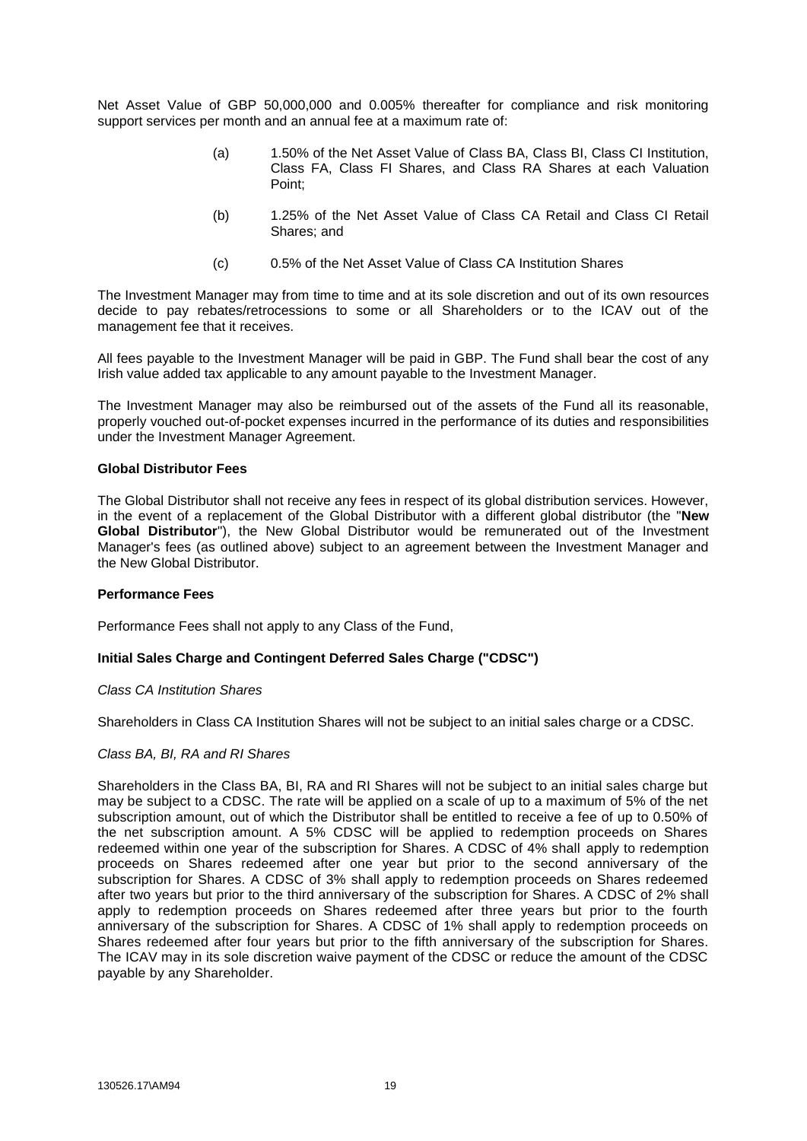Net Asset Value of GBP 50,000,000 and 0.005% thereafter for compliance and risk monitoring support services per month and an annual fee at a maximum rate of:

- (a) 1.50% of the Net Asset Value of Class BA, Class BI, Class CI Institution, Class FA, Class FI Shares, and Class RA Shares at each Valuation Point;
- (b) 1.25% of the Net Asset Value of Class CA Retail and Class CI Retail Shares; and
- (c) 0.5% of the Net Asset Value of Class CA Institution Shares

The Investment Manager may from time to time and at its sole discretion and out of its own resources decide to pay rebates/retrocessions to some or all Shareholders or to the ICAV out of the management fee that it receives.

All fees payable to the Investment Manager will be paid in GBP. The Fund shall bear the cost of any Irish value added tax applicable to any amount payable to the Investment Manager.

The Investment Manager may also be reimbursed out of the assets of the Fund all its reasonable, properly vouched out-of-pocket expenses incurred in the performance of its duties and responsibilities under the Investment Manager Agreement.

## **Global Distributor Fees**

The Global Distributor shall not receive any fees in respect of its global distribution services. However, in the event of a replacement of the Global Distributor with a different global distributor (the "**New Global Distributor**"), the New Global Distributor would be remunerated out of the Investment Manager's fees (as outlined above) subject to an agreement between the Investment Manager and the New Global Distributor.

### **Performance Fees**

Performance Fees shall not apply to any Class of the Fund,

# **Initial Sales Charge and Contingent Deferred Sales Charge ("CDSC")**

### *Class CA Institution Shares*

Shareholders in Class CA Institution Shares will not be subject to an initial sales charge or a CDSC.

### *Class BA, BI, RA and RI Shares*

Shareholders in the Class BA, BI, RA and RI Shares will not be subject to an initial sales charge but may be subject to a CDSC. The rate will be applied on a scale of up to a maximum of 5% of the net subscription amount, out of which the Distributor shall be entitled to receive a fee of up to 0.50% of the net subscription amount. A 5% CDSC will be applied to redemption proceeds on Shares redeemed within one year of the subscription for Shares. A CDSC of 4% shall apply to redemption proceeds on Shares redeemed after one year but prior to the second anniversary of the subscription for Shares. A CDSC of 3% shall apply to redemption proceeds on Shares redeemed after two years but prior to the third anniversary of the subscription for Shares. A CDSC of 2% shall apply to redemption proceeds on Shares redeemed after three years but prior to the fourth anniversary of the subscription for Shares. A CDSC of 1% shall apply to redemption proceeds on Shares redeemed after four years but prior to the fifth anniversary of the subscription for Shares. The ICAV may in its sole discretion waive payment of the CDSC or reduce the amount of the CDSC payable by any Shareholder.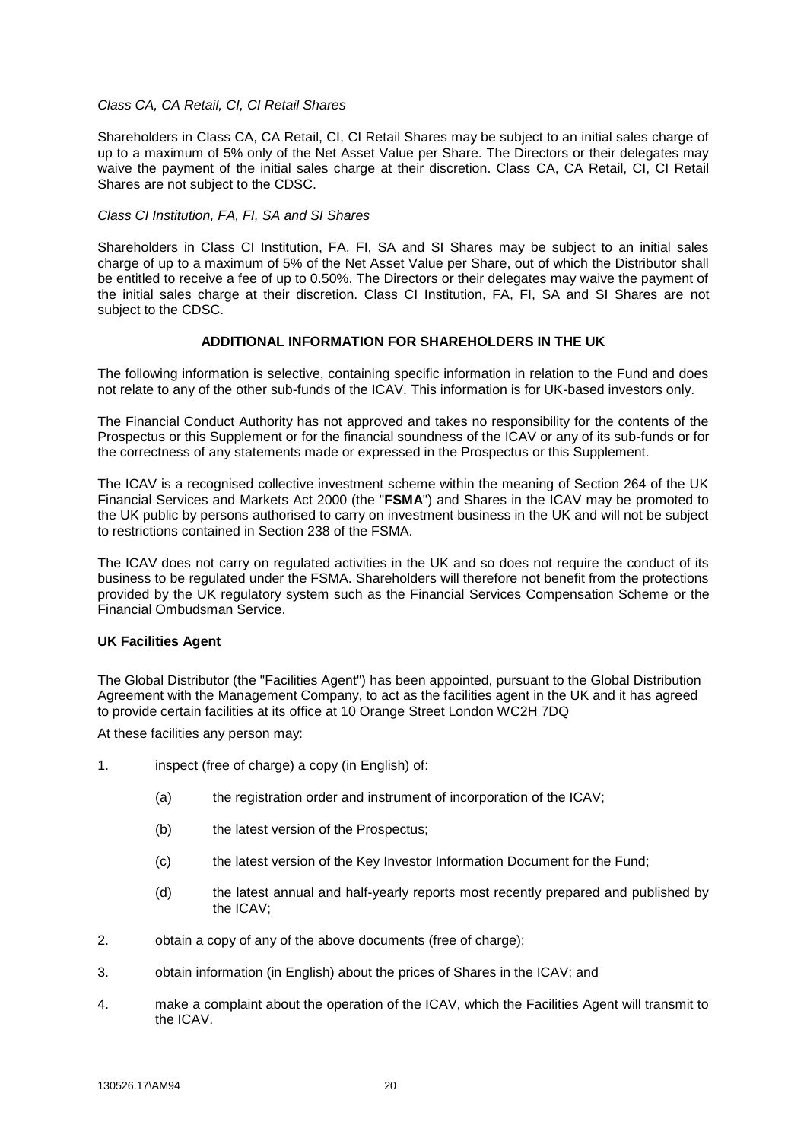### *Class CA, CA Retail, CI, CI Retail Shares*

Shareholders in Class CA, CA Retail, CI, CI Retail Shares may be subject to an initial sales charge of up to a maximum of 5% only of the Net Asset Value per Share. The Directors or their delegates may waive the payment of the initial sales charge at their discretion. Class CA, CA Retail, CI, CI Retail Shares are not subject to the CDSC.

*Class CI Institution, FA, FI, SA and SI Shares*

Shareholders in Class CI Institution, FA, FI, SA and SI Shares may be subject to an initial sales charge of up to a maximum of 5% of the Net Asset Value per Share, out of which the Distributor shall be entitled to receive a fee of up to 0.50%. The Directors or their delegates may waive the payment of the initial sales charge at their discretion. Class CI Institution, FA, FI, SA and SI Shares are not subject to the CDSC.

# **ADDITIONAL INFORMATION FOR SHAREHOLDERS IN THE UK**

The following information is selective, containing specific information in relation to the Fund and does not relate to any of the other sub-funds of the ICAV. This information is for UK-based investors only.

The Financial Conduct Authority has not approved and takes no responsibility for the contents of the Prospectus or this Supplement or for the financial soundness of the ICAV or any of its sub-funds or for the correctness of any statements made or expressed in the Prospectus or this Supplement.

The ICAV is a recognised collective investment scheme within the meaning of Section 264 of the UK Financial Services and Markets Act 2000 (the "**FSMA**") and Shares in the ICAV may be promoted to the UK public by persons authorised to carry on investment business in the UK and will not be subject to restrictions contained in Section 238 of the FSMA.

The ICAV does not carry on regulated activities in the UK and so does not require the conduct of its business to be regulated under the FSMA. Shareholders will therefore not benefit from the protections provided by the UK regulatory system such as the Financial Services Compensation Scheme or the Financial Ombudsman Service.

# **UK Facilities Agent**

The Global Distributor (the "Facilities Agent") has been appointed, pursuant to the Global Distribution Agreement with the Management Company, to act as the facilities agent in the UK and it has agreed to provide certain facilities at its office at 10 Orange Street London WC2H 7DQ

At these facilities any person may:

- 1. inspect (free of charge) a copy (in English) of:
	- (a) the registration order and instrument of incorporation of the ICAV;
	- (b) the latest version of the Prospectus;
	- (c) the latest version of the Key Investor Information Document for the Fund;
	- (d) the latest annual and half-yearly reports most recently prepared and published by the ICAV;
- 2. obtain a copy of any of the above documents (free of charge);
- 3. obtain information (in English) about the prices of Shares in the ICAV; and
- 4. make a complaint about the operation of the ICAV, which the Facilities Agent will transmit to the ICAV.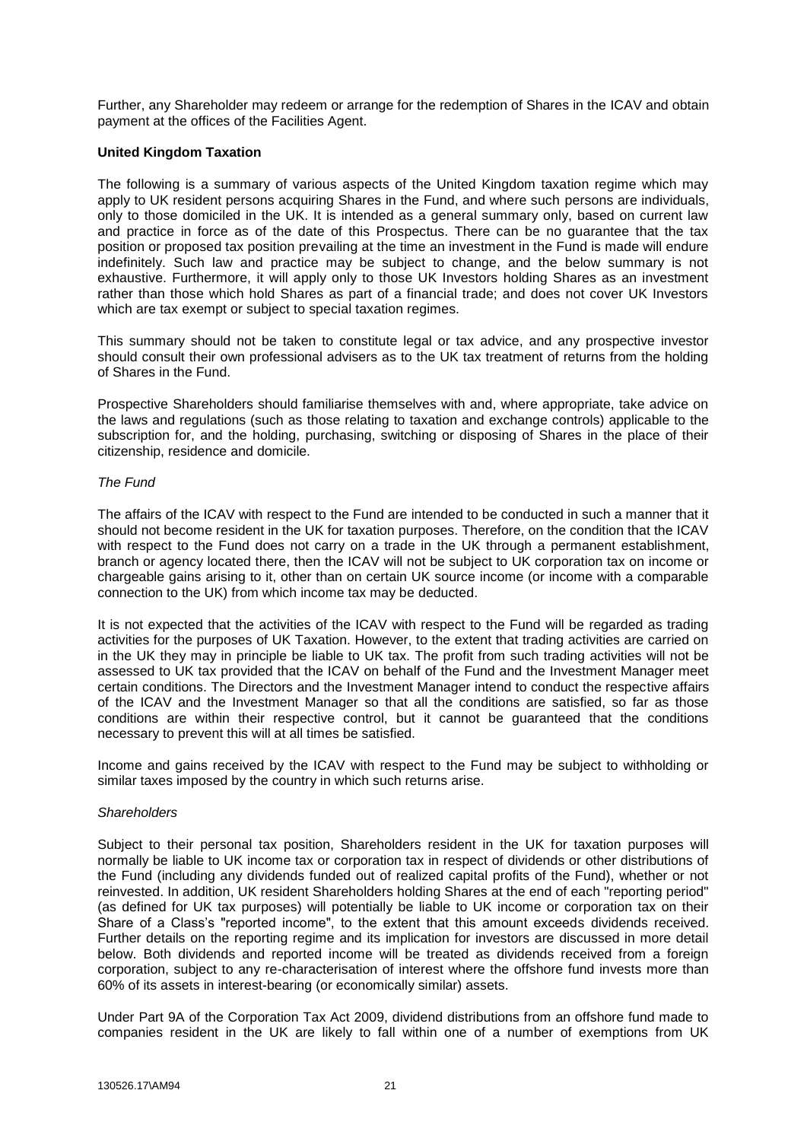Further, any Shareholder may redeem or arrange for the redemption of Shares in the ICAV and obtain payment at the offices of the Facilities Agent.

# **United Kingdom Taxation**

The following is a summary of various aspects of the United Kingdom taxation regime which may apply to UK resident persons acquiring Shares in the Fund, and where such persons are individuals, only to those domiciled in the UK. It is intended as a general summary only, based on current law and practice in force as of the date of this Prospectus. There can be no guarantee that the tax position or proposed tax position prevailing at the time an investment in the Fund is made will endure indefinitely. Such law and practice may be subject to change, and the below summary is not exhaustive. Furthermore, it will apply only to those UK Investors holding Shares as an investment rather than those which hold Shares as part of a financial trade; and does not cover UK Investors which are tax exempt or subject to special taxation regimes.

This summary should not be taken to constitute legal or tax advice, and any prospective investor should consult their own professional advisers as to the UK tax treatment of returns from the holding of Shares in the Fund.

Prospective Shareholders should familiarise themselves with and, where appropriate, take advice on the laws and regulations (such as those relating to taxation and exchange controls) applicable to the subscription for, and the holding, purchasing, switching or disposing of Shares in the place of their citizenship, residence and domicile.

### *The Fund*

The affairs of the ICAV with respect to the Fund are intended to be conducted in such a manner that it should not become resident in the UK for taxation purposes. Therefore, on the condition that the ICAV with respect to the Fund does not carry on a trade in the UK through a permanent establishment, branch or agency located there, then the ICAV will not be subject to UK corporation tax on income or chargeable gains arising to it, other than on certain UK source income (or income with a comparable connection to the UK) from which income tax may be deducted.

It is not expected that the activities of the ICAV with respect to the Fund will be regarded as trading activities for the purposes of UK Taxation. However, to the extent that trading activities are carried on in the UK they may in principle be liable to UK tax. The profit from such trading activities will not be assessed to UK tax provided that the ICAV on behalf of the Fund and the Investment Manager meet certain conditions. The Directors and the Investment Manager intend to conduct the respective affairs of the ICAV and the Investment Manager so that all the conditions are satisfied, so far as those conditions are within their respective control, but it cannot be guaranteed that the conditions necessary to prevent this will at all times be satisfied.

Income and gains received by the ICAV with respect to the Fund may be subject to withholding or similar taxes imposed by the country in which such returns arise.

### *Shareholders*

Subject to their personal tax position, Shareholders resident in the UK for taxation purposes will normally be liable to UK income tax or corporation tax in respect of dividends or other distributions of the Fund (including any dividends funded out of realized capital profits of the Fund), whether or not reinvested. In addition, UK resident Shareholders holding Shares at the end of each "reporting period" (as defined for UK tax purposes) will potentially be liable to UK income or corporation tax on their Share of a Class's "reported income", to the extent that this amount exceeds dividends received. Further details on the reporting regime and its implication for investors are discussed in more detail below. Both dividends and reported income will be treated as dividends received from a foreign corporation, subject to any re-characterisation of interest where the offshore fund invests more than 60% of its assets in interest-bearing (or economically similar) assets.

Under Part 9A of the Corporation Tax Act 2009, dividend distributions from an offshore fund made to companies resident in the UK are likely to fall within one of a number of exemptions from UK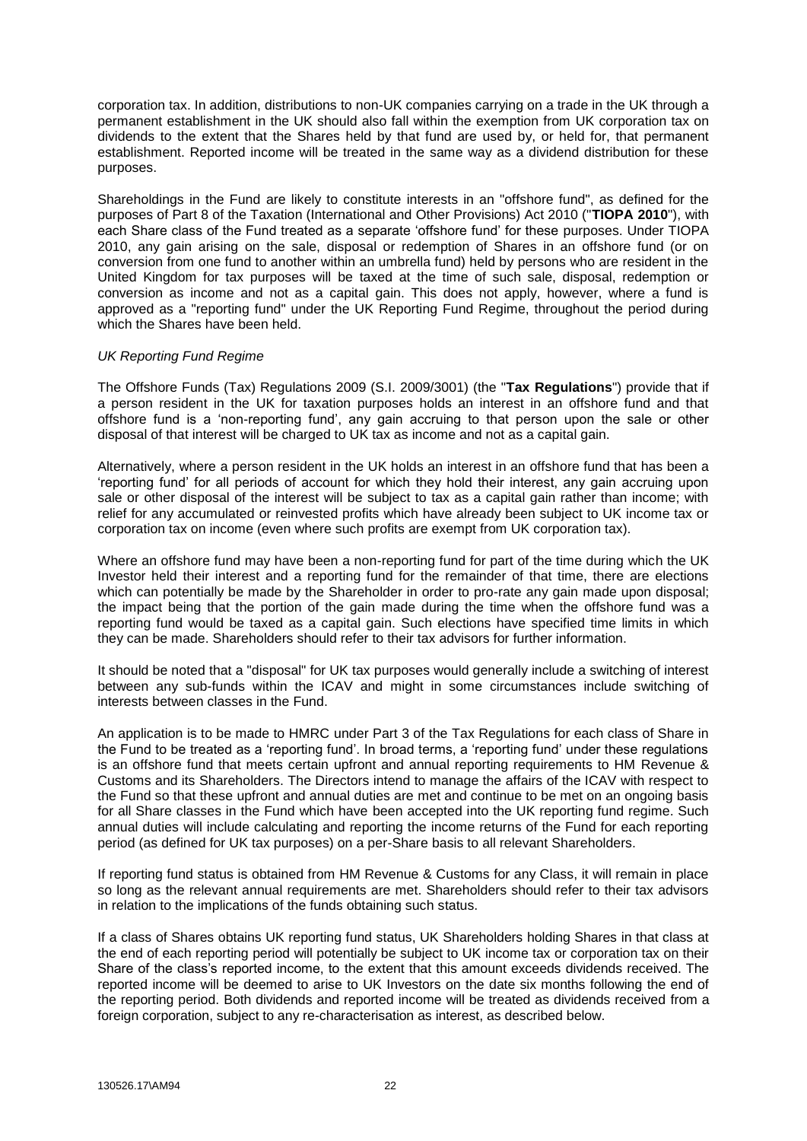corporation tax. In addition, distributions to non-UK companies carrying on a trade in the UK through a permanent establishment in the UK should also fall within the exemption from UK corporation tax on dividends to the extent that the Shares held by that fund are used by, or held for, that permanent establishment. Reported income will be treated in the same way as a dividend distribution for these purposes.

Shareholdings in the Fund are likely to constitute interests in an "offshore fund", as defined for the purposes of Part 8 of the Taxation (International and Other Provisions) Act 2010 ("**TIOPA 2010**"), with each Share class of the Fund treated as a separate 'offshore fund' for these purposes. Under TIOPA 2010, any gain arising on the sale, disposal or redemption of Shares in an offshore fund (or on conversion from one fund to another within an umbrella fund) held by persons who are resident in the United Kingdom for tax purposes will be taxed at the time of such sale, disposal, redemption or conversion as income and not as a capital gain. This does not apply, however, where a fund is approved as a "reporting fund" under the UK Reporting Fund Regime, throughout the period during which the Shares have been held.

### *UK Reporting Fund Regime*

The Offshore Funds (Tax) Regulations 2009 (S.I. 2009/3001) (the "**Tax Regulations**") provide that if a person resident in the UK for taxation purposes holds an interest in an offshore fund and that offshore fund is a 'non-reporting fund', any gain accruing to that person upon the sale or other disposal of that interest will be charged to UK tax as income and not as a capital gain.

Alternatively, where a person resident in the UK holds an interest in an offshore fund that has been a 'reporting fund' for all periods of account for which they hold their interest, any gain accruing upon sale or other disposal of the interest will be subject to tax as a capital gain rather than income; with relief for any accumulated or reinvested profits which have already been subject to UK income tax or corporation tax on income (even where such profits are exempt from UK corporation tax).

Where an offshore fund may have been a non-reporting fund for part of the time during which the UK Investor held their interest and a reporting fund for the remainder of that time, there are elections which can potentially be made by the Shareholder in order to pro-rate any gain made upon disposal; the impact being that the portion of the gain made during the time when the offshore fund was a reporting fund would be taxed as a capital gain. Such elections have specified time limits in which they can be made. Shareholders should refer to their tax advisors for further information.

It should be noted that a "disposal" for UK tax purposes would generally include a switching of interest between any sub-funds within the ICAV and might in some circumstances include switching of interests between classes in the Fund.

An application is to be made to HMRC under Part 3 of the Tax Regulations for each class of Share in the Fund to be treated as a 'reporting fund'. In broad terms, a 'reporting fund' under these regulations is an offshore fund that meets certain upfront and annual reporting requirements to HM Revenue & Customs and its Shareholders. The Directors intend to manage the affairs of the ICAV with respect to the Fund so that these upfront and annual duties are met and continue to be met on an ongoing basis for all Share classes in the Fund which have been accepted into the UK reporting fund regime. Such annual duties will include calculating and reporting the income returns of the Fund for each reporting period (as defined for UK tax purposes) on a per-Share basis to all relevant Shareholders.

If reporting fund status is obtained from HM Revenue & Customs for any Class, it will remain in place so long as the relevant annual requirements are met. Shareholders should refer to their tax advisors in relation to the implications of the funds obtaining such status.

If a class of Shares obtains UK reporting fund status, UK Shareholders holding Shares in that class at the end of each reporting period will potentially be subject to UK income tax or corporation tax on their Share of the class's reported income, to the extent that this amount exceeds dividends received. The reported income will be deemed to arise to UK Investors on the date six months following the end of the reporting period. Both dividends and reported income will be treated as dividends received from a foreign corporation, subject to any re-characterisation as interest, as described below.